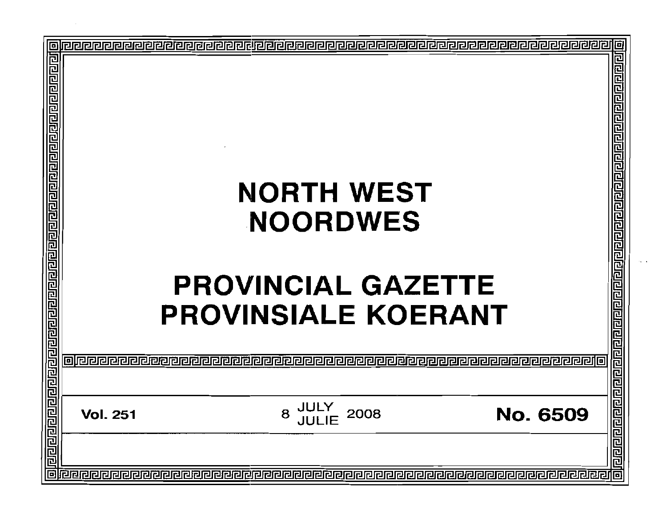|                                                                                 |                 |                                                                                                 | 回                                 |
|---------------------------------------------------------------------------------|-----------------|-------------------------------------------------------------------------------------------------|-----------------------------------|
| <u>बिराबाद्यस्य सम्बन्धान्नस्य स्थानस्य निम्नायानस्य स्थानस्य निम्नानस्य नि</u> | olece           | <b>NORTH WEST</b><br><b>NOORDWES</b><br><b>PROVINCIAL GAZETTE</b><br><b>PROVINSIALE KOERANT</b> |                                   |
|                                                                                 |                 |                                                                                                 |                                   |
| <u>pidaaaaaa</u>                                                                | <b>Vol. 251</b> | <b>JULY<br/>JULIE</b><br>8<br>2008                                                              | <b>heleren ereler</b><br>No. 6509 |
|                                                                                 |                 |                                                                                                 |                                   |
|                                                                                 |                 |                                                                                                 | 回                                 |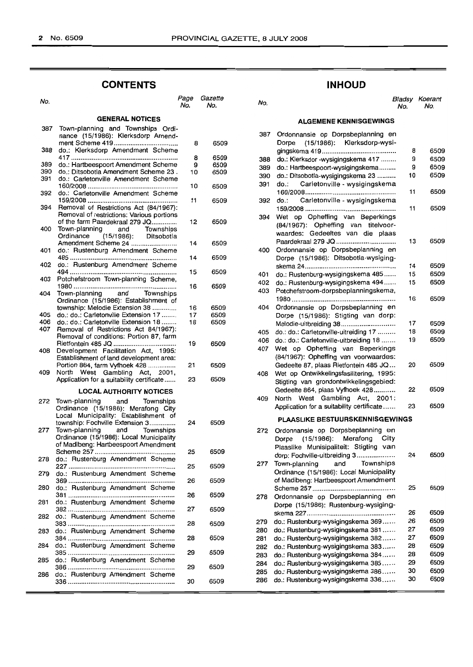# **CONTENTS**

| No.        |                                                                                                           | Page<br>No. | Gazette<br>No. |
|------------|-----------------------------------------------------------------------------------------------------------|-------------|----------------|
|            | <b>GENERAL NOTICES</b>                                                                                    |             |                |
| 387        | Town-planning and Townships Ordi-<br>nance (15/1986): Klerksdorp Amend-                                   |             |                |
| 388        | do.: Klerksdorp Amendment Scheme                                                                          | 8           | 650            |
|            |                                                                                                           | 8           | 650            |
| 389<br>390 | do.: Hartbeespoort Amendment Scheme<br>do.: Ditsobotla Amendment Scheme 23.                               | 9<br>10     | 650<br>650     |
| 391        | do.: Carletonville Amendment Scheme                                                                       |             |                |
| 392        | do.: Carletonville Amendment Scheme                                                                       | 10          | 650            |
| 394        | Removal of Restrictions Act (84/1967):                                                                    | 11          | 650            |
|            | Removal of restrictions: Various portions                                                                 |             |                |
| 400        | of the farm Paardekraal 279 JQ<br>Town-planning and<br>Townships                                          | 12          | 650            |
|            | (15/1986): Ditsobotla<br>Ordinance                                                                        |             |                |
| 401        | Amendment Scheme 24<br>do.: Rustenburg Amendment Scheme                                                   | 14          | 650            |
| 402        | do.: Rustenburg Amendment Scheme                                                                          | 14          | 650            |
| 403        | Potchefstroom Town-planning Scheme,                                                                       | 15          | 650!           |
| 404        | Town-planning and Townships                                                                               | 16          | 650            |
|            | Ordinance (15/1986): Establishment of                                                                     |             |                |
|            | township: Melodie Extension 38                                                                            | 16          | 650            |
| 405        | do.: do.: Carletonville Extension 17                                                                      | 17          | 6509           |
| 406        | do.: do.: Carletonville Extension 18                                                                      | 18          | 6509           |
| 407        | Removal of Restrictions Act 84/1967):<br>Removal of conditions: Portion 87, farm                          |             |                |
|            |                                                                                                           | 19          | 6509           |
| 408        | Development Facilitation Act, 1995:<br>Establishment of land development area:                            |             |                |
|            | Portion 864, farm Vyfhoek 428                                                                             | 21          | 6509           |
| 409        | North West Gambling Act, 2001,                                                                            | 23          | 6509           |
|            | Application for a suitability certificate                                                                 |             |                |
|            | <b>LOCAL AUTHORITY NOTICES</b>                                                                            |             |                |
| 272        | Town-planning and Townships<br>Ordinance (15/1986): Merafong City<br>Local Municipality: Establishment of |             |                |
| 277        | township: Fochville Extension 3<br>Town-planning and Townships<br>Ordinance (15/1986): Local Municipality | 24          | 6509           |
|            | of Madibeng: Hartbeespoort Amendment                                                                      | 25          | 6509           |
| 278        | do.: Rustenburg Amendment Scheme                                                                          | 25          | 6509           |
| 279        | do.: Rustenburg Amendment Scheme                                                                          | 26          | 6509           |
| 280        | do.: Rustenburg Amendment Scheme                                                                          | 26          | 6509           |
| 281        | do.: Rustenburg Amendment Scheme<br>.                                                                     | 27          | 6509           |
| 282        | do.: Rustenburg Amendment Scheme                                                                          | 28          | 6509           |
| 283        | do.: Rustenburg Amendment Scheme                                                                          |             |                |
| 284        | <br>do.: Rustenburg Amendment Scheme                                                                      | 28          | 6509           |
| 285        | do.: Rustenburg Amendment Scheme                                                                          | 29          | 6509           |
| 286        | do.: Rustenburg Amendment Scheme                                                                          | 29          | 6509           |
|            |                                                                                                           | 30          | 6509           |

# **INHOUD**

#### No. No. No. Bladsy Koerant No. No. do.: Rustenburg-wysigingskema 494...... 15 Potchefstroom-dorpsbeplanningskema, do.: do.: Carletonville-uitreiding 17 ......... 18 Ordonnansie op Dorpsbeplanning en Ordonnansie op Dorpsbeplanning en do.: Rustenburg-wysigingskema 336...... 30 **ALGEMENE KENNISGEWINGS** Ordonnansie op Dorpsbeplanning en Dorpe (15/1986): Klerksdorp-wysigingskema 419.............................. 8 do.: Klerksdor -wysigingskema 417 ........ 9 do.: Hartbeespoort-wysigingskema......... 9 do.: Ditsobotla-wysigingskema 23 .......... 10 do.: Carletonville - wysigingskema 160/2008..... 11 do.: Carletonville - wysigingskema 159/2008 11 Wet op Opheffing van Beperkings (84/1967): Opheffing van titelvoorwaardes: Gedeeltes van die plaas Paardekraal 279 JQ .. 13 Ordonnansie op Dorpsbeplanning en Dorpe (15/1986): Ditsobotla-wysigingskema 24................................................. 14 do.: Rustenburg-wysigingskema 485...... 15 1980........................................................ 16 Ordonnansie op Dorpsbeplanning en Dorpe (15/1986): Stigting van dorp: Melodie-uitbreiding 38............................. 17 do.: do.: Carletonville-uitbreiding 18....... 19 Wet op Opheffing van Beperkings (84/1967): Opheffing van voorwaardes: Gedeelte 87, plaas Rietfontein 485 JQ... 20 Wet op Ontwikkelingsfasilitering, 1995: Stigting van grondontwikkelingsgebied: Gedeelte 864, plaas Vyfhoek 428........... 22 North West Gambling Act, 2001: Application for a suitability certificate ...... 23 **PLAASLIKE BESTUURSKENNISGEWINGS** Dorpe (15/1986): Merafong City Plaaslike Munisipaliteit: Stigting van dorp: Fochville-uitbreiding 3.................... 24 Town-planning and Ordinance (15/1986): Local Municipality of Madibeng: Hartbeespoort Amendment Scheme 257........ 25 Dorpe (15/1986): Rustenburg-wysigingskema 227............................................... 26 do.: Rustenburg-wysigingskema 369...... 26<br>do.: Rustenburg-wysigingskema 381...... 27 do.: Rustenburg-wysigingskema 381 ....... 27<br>do.: Rustenburg-wysigingskema 382 ..... 27 do.: Rustenburg-wysigingskema 382...... 27 do.: Rustenburg-wysigingskema 383...... 28 do.: Rustenburg-wysigingskema 384...... 28<br>do.: Bustenburg-wysigingskema 385...... 29 do.: Rustenburg-wysigingskema 385...... 29 do.: Rustenburg-wysigingskema 386...... 30<br>do.: Rustenburg-wysigingskema 336...... 30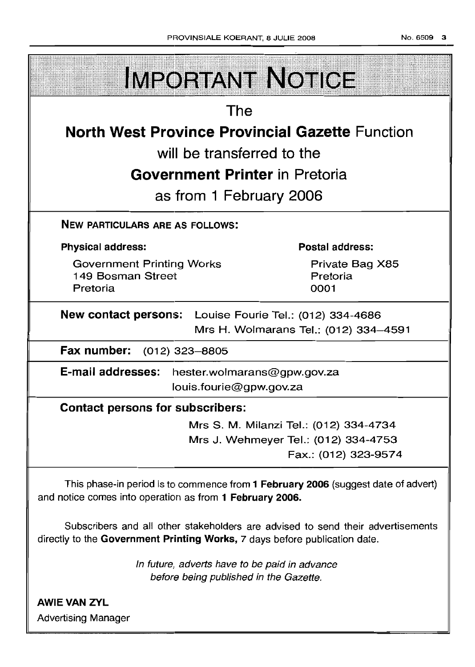| <b>IMPORTANT NOTICE</b>                                 |                                       |  |
|---------------------------------------------------------|---------------------------------------|--|
| The                                                     |                                       |  |
| <b>North West Province Provincial Gazette Function</b>  |                                       |  |
| will be transferred to the                              |                                       |  |
| <b>Government Printer in Pretoria</b>                   |                                       |  |
| as from 1 February 2006                                 |                                       |  |
| <b>NEW PARTICULARS ARE AS FOLLOWS:</b>                  |                                       |  |
| <b>Physical address:</b>                                | Postal address:                       |  |
| <b>Government Printing Works</b><br>149 Bosman Street   | Private Bag X85<br>Pretoria           |  |
| Pretoria                                                | 0001                                  |  |
| New contact persons: Louise Fourie Tel.: (012) 334-4686 |                                       |  |
|                                                         | Mrs H. Wolmarans Tel.: (012) 334-4591 |  |
| Fax number: (012) 323-8805                              |                                       |  |
| E-mail addresses: hester.wolmarans@gpw.gov.za           |                                       |  |
| louis.fourie@gpw.gov.za                                 |                                       |  |
| <b>Contact persons for subscribers:</b>                 |                                       |  |
|                                                         |                                       |  |

Mrs J. Wehmeyer Tel.: (012) 334-4753 Fax.: (012) 323-9574

This phase-in period is to commence from 1 February 2006 (suggest date of advert) and notice comes into operation as from 1 February 2006.

Subscribers and all other stakeholders are advised to send their advertisements directly to the Government Printing Works, 7 days before publication date.

> In future, adverts have to be paid in advance before being published in the Gazette.

AWIE VAN ZVL Advertising Manager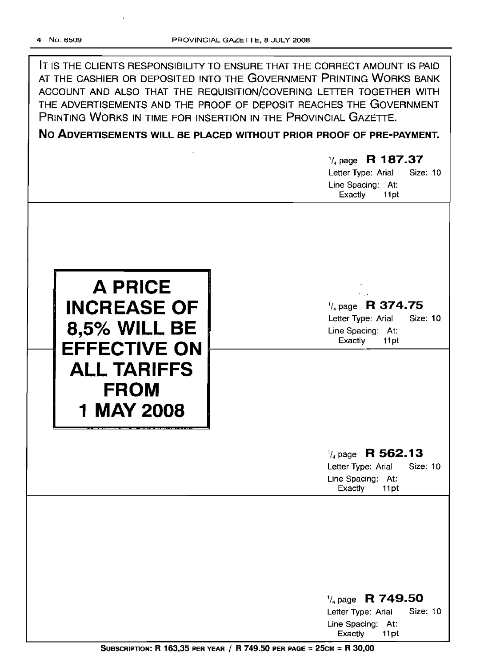| IT IS THE CLIENTS RESPONSIBILITY TO ENSURE THAT THE CORRECT AMOUNT IS PAID<br>AT THE CASHIER OR DEPOSITED INTO THE GOVERNMENT PRINTING WORKS BANK<br>ACCOUNT AND ALSO THAT THE REQUISITION/COVERING LETTER TOGETHER WITH<br>THE ADVERTISEMENTS AND THE PROOF OF DEPOSIT REACHES THE GOVERNMENT<br>PRINTING WORKS IN TIME FOR INSERTION IN THE PROVINCIAL GAZETTE.<br>NO ADVERTISEMENTS WILL BE PLACED WITHOUT PRIOR PROOF OF PRE-PAYMENT.<br>$\frac{1}{4}$ page R 187.37<br>Letter Type: Arial<br><b>Size: 10</b><br>Line Spacing: At:<br>Exactly<br>11pt |                                                                                                       |  |
|-----------------------------------------------------------------------------------------------------------------------------------------------------------------------------------------------------------------------------------------------------------------------------------------------------------------------------------------------------------------------------------------------------------------------------------------------------------------------------------------------------------------------------------------------------------|-------------------------------------------------------------------------------------------------------|--|
| <b>A PRICE</b><br><b>INCREASE OF</b><br><b>8,5% WILL BE</b><br><b>EFFECTIVE ON</b><br><b>ALL TARIFFS</b><br><b>FROM</b><br><b>MAY 2008</b>                                                                                                                                                                                                                                                                                                                                                                                                                | $\frac{1}{4}$ page R 374.75<br>Letter Type: Arial<br>Size: 10<br>Line Spacing: At:<br>Exactly<br>11pt |  |
|                                                                                                                                                                                                                                                                                                                                                                                                                                                                                                                                                           | $\frac{1}{4}$ page R 562.13<br>Letter Type: Arial<br>Size: 10<br>Line Spacing: At:<br>Exactly<br>11pt |  |
|                                                                                                                                                                                                                                                                                                                                                                                                                                                                                                                                                           | 1/ <sub>4</sub> page R 749.50                                                                         |  |

Letter Type: Arial Size: 10 Line Spacing: At:<br>Exactly 11pt Exactly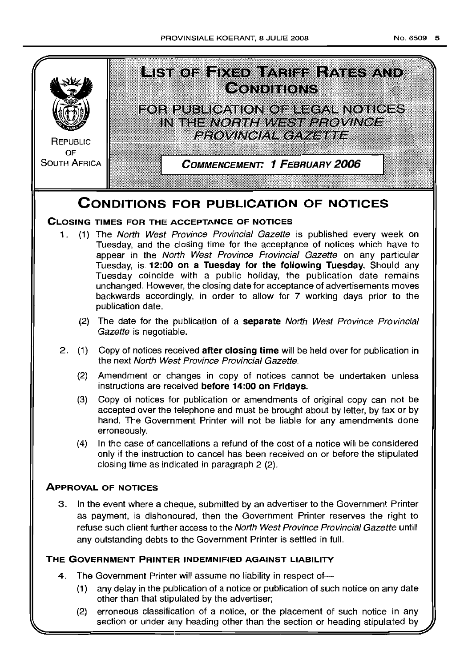

# **CONDITIONS FOR PUBLICATION OF NOTICES**

# **CLOSING TIMES FOR THE ACCEPTANCE OF NOTICES**

- 1. (1) The North West Province Provincial Gazette is published every week on Tuesday, and the closing time for the acceptance of notices which have to appear in the North West Province Provincial Gazette on any particular Tuesday, is **12:00 on a Tuesday for the following Tuesday.** Should any Tuesday coincide with a public holiday, the publication date remains unchanged. However, the closing date for acceptance of advertisements moves backwards accordingly, in order to allow for 7 working days prior to the publication date.
	- (2) The date for the publication of a **separate** North West Province Provincial Gazette is negotiable.
- 2 (1) Copy of notices received **after closing time** will be held over for publication in the next North West Province Provincial Gazette.
	- (2) Amendment or changes in copy of notices cannot be undertaken unless instructions are received before 14:00 on Fridays.
	- (3) Copy of notices for publication or amendments of original copy can not be accepted over the telephone and must be brought about by letter, by fax or by hand. The Government Printer will not be liable for any amendments done erroneously.
	- (4) In the case of cancellations a refund of the cost of a notice will be considered only ifthe instruction to cancel has been received on or before the stipulated closing time as indicated in paragraph 2 (2)

# **ApPROVAL OF NOTICES**

3 In the event where a cheque, submitted by an advertiser to the Government Printer as payment, is dishonoured, then the Government Printer reserves the right to refuse such client further access to the North West Province Provincial Gazette untill any outstanding debts to the Government Printer is settled in full

# **THE GOVERNMENT PRINTER INDEMNIFIED AGAINST LIABILITY**

- 4. The Government Printer will assume no liability in respect of-
	- (1) any delay in the publication of a notice or publication of such notice on any date other than that stipulated by the advertiser;
	- (2) erroneous classification of a notice, or the placement of such notice in any section or under any heading other than the section or heading stipulated by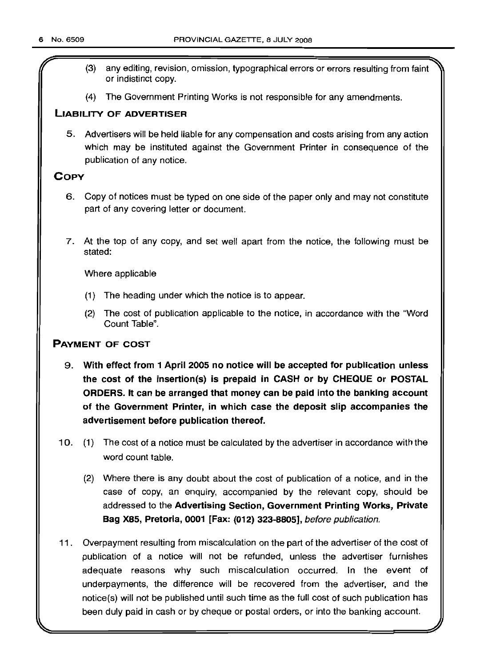- r (3) any editing, revision, omission, typographical errors or errors resulting from faint or indistinct copy.
- (4) The Government Printing Works is not responsible for any amendments.

# LIABILITY OF ADVERTISER

5. Advertisers will be held liable for any compensation and costs arising from any action which may be instituted against the Government Printer in consequence of the publication of any notice.

# **COPY**

- 6. Copy of notices must be typed on one side of the paper only and may not constitute part of any covering letter or document.
- 7. At the top of any copy, and set well apart from the notice, the following must be stated:

Where applicable

- (1) The heading under which the notice is to appear.
- (2) The cost of publication applicable to the notice, in accordance with the "Word Count Table".

# PAYMENT OF COST

- 9. With effect from 1 April 2005 no notice will be accepted for publication unless the cost of the insertion(s) is prepaid in CASH or by CHEQUE or POSTAL ORDERS. It can be arranged that money can be paid into the banking account of the Government Printer, in which case the deposit slip accompanies the advertisement before publication thereof.
- 10. (1) The cost of a notice must be calculated by the advertiser in accordance with the word count table.
	- (2) Where there is any doubt about the cost of publication of a notice, and in the case of copy, an enquiry, accompanied by the relevant copy, should be addressed to the Advertising Section, Government Printing Works, Private Bag X85, Pretoria, 0001 [Fax: (012) 323-8805], before publication.
- 11. Overpayment resulting from miscalculation on the part of the advertiser of the cost of publication of a notice will not be refunded, unless the advertiser furnishes adequate reasons why such miscalculation occurred. In the event of underpayments, the difference will be recovered from the advertiser, and the notice(s) will not be published until such time as the full cost of such publication has been duly paid in cash or by cheque or postal orders, or into the banking account.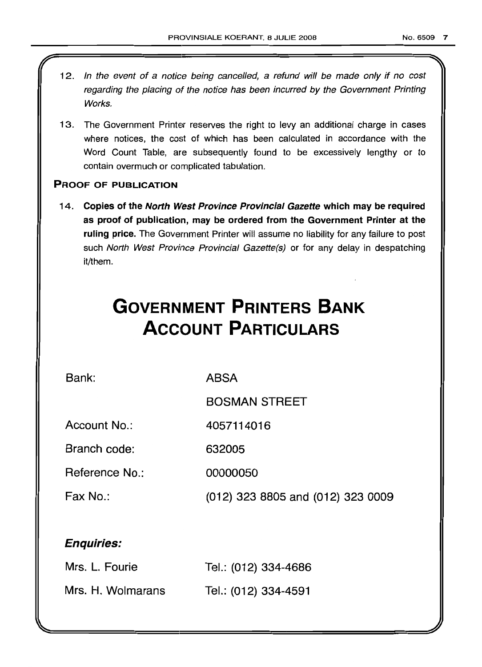- 12. In the event of a notice being cancelled, a refund will be made only if no cost regarding the placing of the notice has been incurred by the Government Printing Works.
- 13. The Government Printer reserves the right to levy an additional charge in cases where notices, the cost of which has been calculated in accordance with the Word Count Table, are subsequently found to be excessively lengthy or to contain overmuch or complicated tabulation.

# PROOF OF PUBLICATION

14. Copies of the North West Province Provincial Gazette which may be required as proof of publication, may be ordered from the Government Printer at the ruling price. The Government Printer will assume no liability for any failure to post such North West Province Provincial Gazette(s) or for any delay in despatching it/them.

# **GOVERNMENT PRINTERS BANK ACCOUNT PARTICULARS**

Bank:

ABSA

BOSMAN STREET

Account No.: 4057114016

Branch code: 632005

Reference No.: 00000050

Fax No.: (012) 323 8805 and (012) 323 0009

# Enquiries:

| Mrs. L. Fourie    | Tel.: (012) 334-4686 |
|-------------------|----------------------|
| Mrs. H. Wolmarans | Tel.: (012) 334-4591 |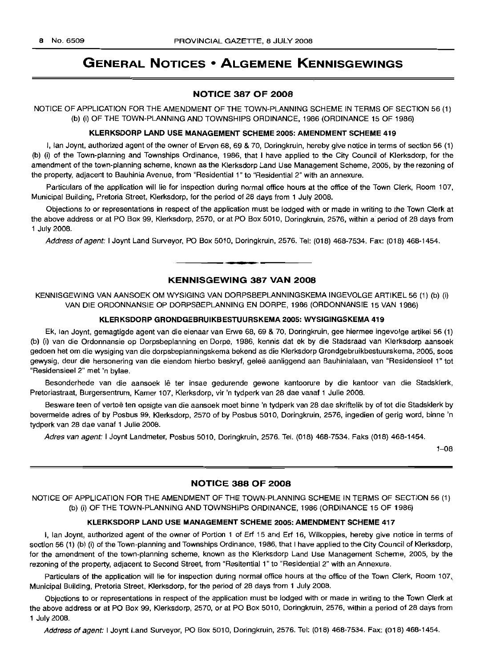# GENERAL NOTICES • ALGEMENE KENNISGEWINGS

# NOTICE 387 OF 2008

NOTICE OF APPLICATION FOR THE AMENDMENT OF THE TOWN-PLANNING SCHEME IN TERMS OF SECTION 56 (1) (b) (i) OF THE TOWN-PLANNING AND TOWNSHIPS ORDINANCE, 1986 (ORDINANCE 15 OF 1986)

#### KLERKSDORP LAND USE MANAGEMENT SCHEME 2005: AMENDMENT SCHEME 419

I, Ian Joynt, authorized agent of the owner of Erven 68, 69 & 70, Doringkruin, hereby give notice in terms of section 56 (1) (b) (i) of the Town-planning and Townships Ordinance, 1986, that I have applied to the City Council of Klerksdorp, for the amendment of the town-planning scheme, known as the Klerksdorp Land Use Management Scheme, 2005, by the rezoning of the property, adjacent to Bauhinia Avenue, from "Residential 1" to "Residential 2" with an annexure.

Particulars of the application will lie for inspection during normal office hours at the office of the Town Clerk, Room 107, Municipal Building, Pretoria Street, Klerksdorp, for the period of 28 days from 1 July 2008.

Objections to or representations in respect of the application must be lodged with or made in writing to the Town Clerk at the above address or at PO Box 99, Klerksdorp, 2570, or at PO Box 5010, Doringkruin, 2576, within a' period of 28 days from 1 July 2008.

Address of agent: I Joynt Land Surveyor, PO Box 5010, Doringkruin, 2576. Tel: (018) 468-7534. Fax: (018) 468-1454.

# KENNISGEWING 387 VAN 2008

**• •**

KENNISGEWING VAN AANSOEK OM WYSIGING VAN DORPSBEPLANNINGSKEMA INGEVOLGE ARTIKEL 56 (1) (b) (i) VAN DIE ORDONNANSIE OP DORPSBEPLANNING EN DORPE, 1986 (ORDONNANSIE 15 VAN 1986)

#### KLERKSDORP GRONDGEBRUIKBESTUURSKEMA 2005: WYSIGINGSKEMA 419

Ek, Ian Joynt, gemagtigde agent van die eienaar van Erwe 68, 69 & 70, Doringkruin, gee hiermee ingevolge artikel 56 (1) (b) (i) van die Ordonnansie op Dorpsbeplanning en Dorpe, 1986, kennis dat ek by die Stadsraad van Klerksdorp aansoek gedoen het om die wysiging van die dorpsbeplanningskema bekend as die Klerksdorp Grondgebruikbestuurskema, 2005, soos gewysig, deur die hersonering van die eiendom hierbo beskryf, geleë aanliggend aan Bauhinialaan, van "Residensieel 1" tot "Residensieel 2" met 'n bylae.

Besonderhede van die aansoek lê ter insae gedurende gewone kantoorure by die kantoor van die Stadsklerk, Pretoriastraat, Burgersentrum, Kamer 107, Klerksdorp, vir 'n tydperk van 28 dae vanaf 1 Julie 2008.

Besware teen of vertoë ten opsigte van die aansoek moet binne 'n tydperk van 28 dae skriftelik by of tot die Stadsklerk by bovermelde adres of by Posbus 99, Klerksdorp, 2570 of by Posbus 5010, Doringkruin, 2576, ingedien of gerig word, binne 'n tydperk van 28 dae vanaf 1 Julie 2008.

Adres van agent: I Joynt Landmeter, Posbus 5010, Doringkruin, 2576. Tel. (018) 468-7534. Faks (018) 468-1454.

1-08

# NOTICE 388 OF 2008

NOTICE OF APPLICATION FOR THE AMENDMENT OF THE TOWN-PLANNING SCHEME IN TERMS OF SECTION 56 (1) (b) (i) OF THE TOWN-PLANNING AND TOWNSHIPS ORDINANCE, 1986 (ORDINANCE 15 OF 1986)

#### KLERKSDORP LAND USE MANAGEMENT SCHEME 2005: AMENDMENT SCHEME 417

I, Ian Joynt, authorized agent of the owner of Portion 1 of Erf 15 and Erf 16, Wilkoppies, hereby give notice in terms of section 56 (1) (b) (i) of the Town-planning and Townships Ordinance, 1986, that I have applied to the City Council of Klerksdorp, for the amendment of the town-planning scheme, known as the Klerksdorp Land Use Management Scheme, 2005, by the rezoning of the property, adjacent to Second Street, from "Resitential 1" to "Residential 2" with an Annexure.

Particulars of the application will lie for inspection during normal office hours at the office of the Town Clerk, Room 107, Municipal Building, Pretoria Street, Klerksdorp, for the period of 28 days from 1 July 2008.

Objections to or representations in respect of the application must be lodged with or made in writing to the Town Clerk at the above address or at PO Box 99, Klerksdorp, 2570, or at PO Box 5010, Doringkruin, 2576, within a period of 28 days from 1 July 2008.

Address of agent: I Joynt Land Surveyor, PO Box 5010, Doringkruin, 2576. Tel: (018) 468-7534. Fax: (018) 468-1454.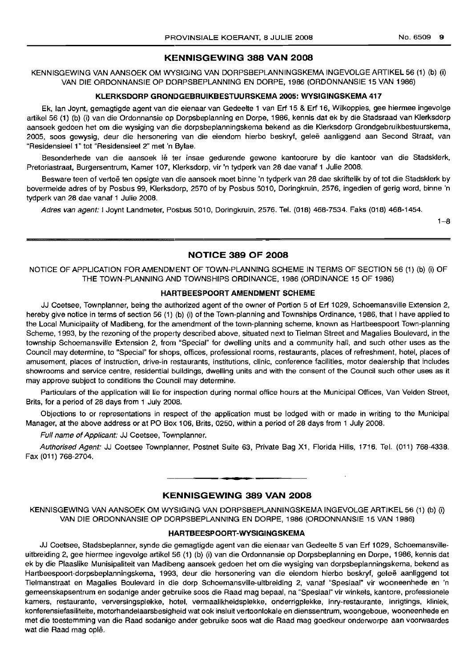# **KENNISGEWING 388 VAN 2008**

KENNISGEWING VAN AANSOEK OM WYSIGING VAN DORPSBEPLANNINGSKEMA INGEVOLGE ARTIKEL 56 (1) (b) (i) VAN DIE ORDONNANSIE OP DORPSBEPLANNING EN DORPE, 1986 (ORDONNANSIE 15 VAN 1986)

# **KLERKSDORP GRONDGEBRUIKBESTUURSKEMA** 2005: **WYSIGINGSKEMA** 417

Ek, Ian Joynt, gemagtigde agent van die eienaar van Gedeelte 1 van Erf 15 & Erf 16, Wilkoppies, gee hiermee ingevolge artikel 56 (1) (b) (i) van die Ordonnansie op Dorpsbeplanning en Dorpe, 1986, kennis dat ek by die Stadsraad van Klerksdorp aansoek gedoen het om die wysiging van die dorpsbeplanningskema bekend as die Klerksdorp Grondgebruikbestuurskema, 2005, soos gewysig, deur die hersonering van die eiendom hierbo beskryf, gelee aanliggend aan Second Straat, van "Residensieel 1" tot "Residensieel 2" met 'n Bylae.

Besonderhede van die aansoek lê ter insae gedurende gewone kantoorure by die kantoor van die Stadsklerk, Pretoriastraat, Burgersentrum, Kamer 107, Klerksdorp, vir 'n tydperk van 28 dae vanaf 1 Julie 2008.

Besware teen of vertoe ten opsigte van die aansoek moet binne 'n tydperk van 28 dae skriftelik by of tot die Stadsklerk by bovermelde adres of by Posbus 99, Klerksdorp, 2570 of by Posbus 5010, Doringkruin, 2576, ingedien of gerig word, binne 'n tydperk van 28 dae vanaf 1 Julie 2008.

Adres van agent: I Joynt Landmeter, Posbus 5010, Doringkruin, 2576. Tel. (018) 468-7534. Faks (018) 468-1454.

1-8

# **NOTICE 389 OF 2008**

NOTICE OF APPLICATION FOR AMENDMENT OF TOWN-PLANNING SCHEME IN TERMS OF SECTION 56 (1) (b) (i) OF THE TOWN-PLANNING AND TOWNSHIPS ORDINANCE, 1986 (ORDINANCE 15 OF 1986)

# **HAFITBEESPOORT AMENDMENT SCHEME**

JJ Coetsee, Townplanner, being the authorized agent of the owner of Portion 5 of Erf 1029, Schoemansville Extension 2, hereby give notice in terms of section 56 (1) (b) (i) of the Town-planning and Townships Ordinance, 1986, that I have applied to the Local Municipality of Madibeng, for the amendment of the town-planning scheme, known as Hartbeespoort Town-planning Scheme, 1993, by the rezoning of the property described above, situated next to Tielman Street and Magalies Boulevard, in the township Schoemansville Extension 2, from "Special" for dwelling units and a community hall, and such other uses as the Council may determine, to "Special" for shops, offices, professional rooms, restaurants, places of refreshment, hotel, places of amusement, places of instruction, drive-in restaurants, institutions, clinic, conference facilities, motor dealership that includes showrooms and service centre, residential buildings, dwelling units and with the consent of the Council such other uses as it may approve subject to conditions the Council may determine.

Particulars of the application will lie for inspection during normal office hours at the Municipal Offices, Van Velden Street, Brits, for a period of 28 days from 1 July 2008.

Objections to or representations in respect of the application must be lodged with or made in writing to the Municipal Manager, at the above address or at PO Box 106, Brits, 0250, within a period of 28 days from 1 July 2008.

Full name of Applicant: JJ Coetsee, Townplanner.

Authorised Agent: JJ Coetsee Townplanner, Postnet Suite 63, Private Bag X1, Florida Hills, 1716. Tel. (011) 768-4338. Fax (011) 768-2704.

# **KENNISGEWING 389 VAN 2008**

**• •**

KENNISGEWING VAN AANSOEK OM WYSIGING VAN DORPSBEPLANNINGSKEMA INGEVOLGE ARTIKEL 56 (1) (b) (i) VAN DIE ORDONNANSIE OP DORPSBEPLANNING EN DORPE, 1986 (ORDONNANSIE 15 VAN 1986)

## **H.ARTBEESPOORT-WYSIGINGSKEMA**

JJ Coetsee, Stadsbeplanner, synde die gemagtigde agent van die eienaar van Gedeelte 5 van Erf 1029, Schoemansvilleuitbreiding 2, gee hiermee ingevolge artikel 56 (1) (b) (i) van die Ordonnansie op Dorpsbeplanning en Dorpe, 1986, kennis dat ek by die Plaaslike Munisipaliteit van Madibeng aansoek gedoen het om die wysiging van dorpsbeplanningskema, bekend as Hartbeespoort-dorpsbeplanningskema, 1993, deur die hersonering van die eiendom hierbo beskryf, geleë aanliggend tot Tielmanstraat en Magalies Boulevard in die dorp Schoemansville-uitbreiding 2, vanaf "Spesiaal" vir wooneenhede en 'n gemeenskapsentrum en sodanige ander gebruike soos die Raad mag bepaal, na "Spesiaal" vir winkels, kantore, professionele kamers, restaurante, verversingsplekke, hotel, vermaalikheidsplekke, onderrigplekke, inry-restaurante, inrigtings, kliniek, konferensiefasiliteite, motorhandelaarsbesigheid wat ook insluit vertoonlokale en dienssentrum, woongeboue, wooneenhede en met die toestemming van die Raad sodaniqe ander gebruike soos wat die Raad mag goedkeur onderworpe aan voorwaardes wat die Raad mag oplê.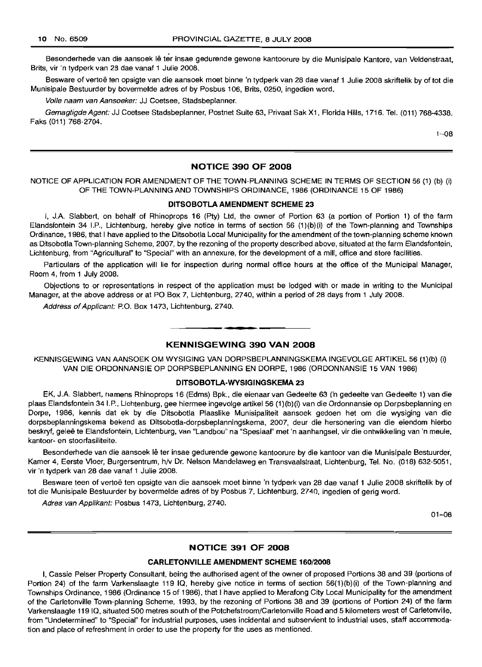Besonderhede van die aansoek lê ter insae gedurende gewone kantoorure by die Munisipale Kantore, van Veldenstraat, Brits, vir 'n tydperk van 28 dae vanaf 1 Julie 2008.

Besware of vertoë ten opsigte van die aansoek moet binne 'n tydperk van 28 dae vanaf 1 Julie 2008 skriftelik by of tot die Munisipale Bestuurder by bovermelde adres of by Posbus 106, Brits, 0250, ingedien word.

Volle naam van Aansoeker: JJ Coetsee, Stadsbeplanner.

Gemagtigde Agent: JJ Coetsee Stadsbeplanner, Postnet Suite 63, Privaat Sak X1, Florida Hills, 1716. Tel. (011) 768-4338. Faks (011) 768-2704.

 $1 - 08$ 

# NOTICE 390 OF 2008

NOTICE OF APPLICATION FOR AMENDMENT OF THE TOWN-PLANNING SCHEME IN TERMS OF SECTION 56 (1) (b) (i) OF THE TOWN-PLANNING AND TOWNSHIPS ORDINANCE, 1986 (ORDINANCE 15 OF 1986)

#### DITSOBOTLA AMENDMENT SCHEME 23

I, J.A. Siabbert, on behalf of Rhinoprops 16 (Pty) Ltd, the owner of Portion 63 (a portion of Portion 1) of the farm Elandsfontein 34 I.P., Lichtenburg, hereby give notice in terms of section 56 (1 )(b)(i) of the Town-planning and Townships Ordinance, 1986, that I have applied to the Ditsobotla Local Municipality for the amendment of the town-planning scheme known as Ditsobotla Town-planning Scheme, 2007, by the rezoning of the property described above, situated at the farm Elandsfontein, Lichtenburg, from "Agricultural" to "Special" with an annexure, for the development of a mill, office and store facilities.

Particulars of the application will lie for inspection during normal office hours at the office of the Municipal Manager, Room 4, from 1 JUly 2008.

Objections to or representations in respect of the application must be lodged with or made in writing to the Municipal Manager, at the above address or at PO Box 7, Lichtenburg, 2740, within a period of 28 days from 1 July 2008.

Address of Applicant: P.O. Box 1473, Lichtenburg, 2740.

## KENNISGEWING 390 VAN 2008

**• •**

KENNISGEWING VAN AANSOEK OM WYSIGING VAN DORPSBEPLANNINGSKEMA INGEVOLGE ARTIKEL 56 (1) (b) (i) VAN DIE ORDONNANSIE OP DORPSBEPLANNING EN DORPE, 1986 (ORDONNANSIE 15 VAN 1986)

#### DITSOBOTLA-WYSIGINGSKEMA 23

EK, J.A. Slabbert, namens Rhinoprops 16 (Edms) Bpk., die eienaar van Gedeelte 63 ('n gedeelte van Gedeelte 1) van die plaas Elandsfontein 34 I.P., Lichtenburg, gee hiermee ingevolge artikel 56 (1 )(b)(i) van die Ordonnansie op Dorpsbeplanning en Dorpe, 1986, kennis dat ek by die Ditsobotla Plaaslike Munisipaliteit aansoek gedoen het om die wysiging van die dorpsbeplanningskema bekend as Ditsobotla-dorpsbeplanningskema, 2007, deur die hersonering van die eiendom hierbo beskryf, qelee te Elandsfontein, Lichtenburg, van "Landbou" na "Spesiaal" met 'n aanhangsel, vir die ontwikkeling van 'n meule, kantoor- en stoorfasiliteite.

Besonderhede van die aansoek lê ter insae gedurende gewone kantoorure by die kantoor van die Munisipale Bestuurder, Kamer 4, Eerste Vloer, Burgersentrum, h/v Dr. Nelson Mandelaweg en Transvaalstraat, Lichtenburg, Tel. No. (018) 632-5051, vir 'n tydperk van 28 dae vanaf 1 Julie 2008.

Besware teen of vertoe ten opsigte van die aansoek moet binne 'n tydperk van 28 dae vanaf 1 Julie 2008 skriftelik by of tot die Munisipale Bestuurder by bovermelde adres of by Posbus 7, Lichtenburg, 2740, ingedien of gerig word.

Adres van Applikant: Posbus 1473, Lichtenburg, 2740.

01-08

#### NOTICE 391 OF 2008

#### CARLETONVILLE AMENDMENT SCHEME 160/2008

I, Cassie Peiser Property Consultant, being the authorised agent of the owner of proposed Portions 38 and 39 (portions of Portion 24) of the farm Varkenslaagte 119 IQ, hereby give notice in terms of section 56(1)(b)(i) of the Town-planning and Townships Ordinance, 1986 (Ordinance 15 of 1986), that I have applied to Merafong City Local Municipality for the amendment of the Carletonville Town-planning Scheme, 1993, by the rezoning of Portions 38 and 39 (portions of Portion 24) of the farm Varkenslaagte 119 IQ, situated 500 metres south of the Potchefstroom/Carletonville Road and 5 kilometers west of Carletonville, from "Undetermined" to "Special" for industrial purposes, uses incidental and subservient to industrial uses, staff accommodation and place of refreshment in order to use the property for the uses as mentioned.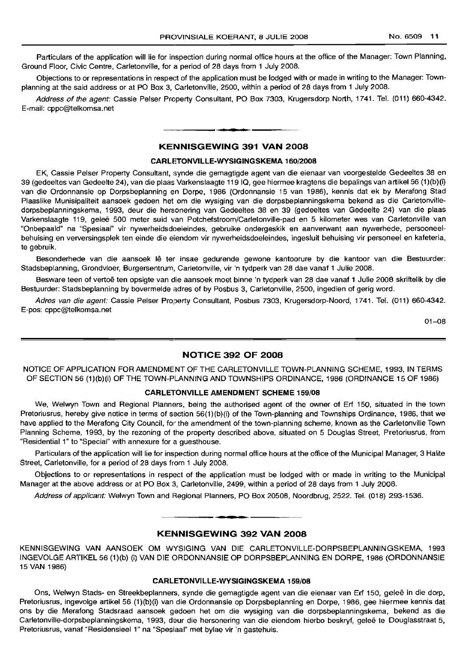Particulars of the application will lie for inspection during normal office hours at the office of the Manager: Town Planning, Ground Floor, Civic Centre, Carletonville, for a period of 28 days from 1 July 2008.

Objections to or representations in respect of the application must be lodged with or made in writing to the Manager: Townplanning at the said address or at PO Box 3, Carletonville, 2500, within a period of 28 days from 1 July 2008.

Address of the agent: Cassie Peiser Property Consultant, PO Box 7303, Krugersdorp North, 1741. Tel. (011) 660-4342. E-mail: cppc@telkomsa.net

# I **• I KENNISGEWING 391 VAN 2008**

## **CARLETONVILLE-WYSIGINGSKEMA** 160/2008

EK, Cassie Peiser Property Consultant, synde die gemagtigde agent van die eienaar van voorgestelde Gedeeltes 38 en 39 (gedeeltes van Gedeelte 24), van die plaas Varkenslaagte 119 IQ, gee hiermee kragtens die bepalings van artikel 56 (1)(b)(i) van die Ordonnansie op Dorpsbeplanning en Dorpe, 1986 (Ordonnansie 15 van 1986), kennis dat ek by Merafong Stad Plaaslike Munisipaliteit aansoek gedoen het om die wysiging van die dorpsbeplanningskema bekend as die Carletonvilledorpsbeplanningskema, 1993, deur die hersonering van Gedeeltes 38 en 39 (gedeeltes van Gedeelte 24) van die plaas Varkenslaagte 119, gelee 500 meter suid van Potchefstroom/Carletonville-pad en 5 kilometer wes van Carletonville van "Onbepaald" na "Spesiaal" vir nywerheidsdoeleindes, gebruike ondergeskik en aanverwant aan nywerhede, persooneelbehuising en verversingsplek ten einde die eiendom vir nywerheidsdoeleindes, ingesluit behuising vir personeel en kafeteria, te gebruik.

Besonderhede van die aansoek lê ter insae gedurende gewone kantoorure by die kantoor van die Bestuurder: Stadsbeplanning, Grondvloer, Burgersentrum, Carletonville, vir 'n tydperk van 28 dae vanaf 1 Julie 2008.

Besware teen of vertoe ten opsigte van die aansoek moet binne 'n tydperk van 28 dae vanaf 1 Julie 2008 skriftelik by die Bestuurder: Stadsbeplanning by bovermelde adres of by Posbus 3, Carletonville, 2500, ingedien of gerig word.

Adres van die agent: Cassie Peiser Property Consultant, Posbus 7303, Krugersdorp-Noord, 1741. Tel. (011) 660-4342. E-pos: cppc@telkomsa.net

01-08

#### **NOTICE 392 OF 2008**

NOTICE OF APPLICATION FOR AMENDMENT OF THE CARLETONVILLE TOWN-PLANNING SCHEME, 1993, IN TERMS OF SECTION 56 (1)(b)(i) OF THE TOWN-PLANNING AND TOWNSHIPS ORDINANCE, 1986 (ORDINANCE 15 OF 1986)

# **CARLETONVILLE AMENDMENT SCHEME** 159/08

We, Welwyn Town and Regional Planners, being the authorised agent of the owner of Erf 150, situated in the town Pretoriusrus, hereby give notice in terms of section 56(1)(b)(i) of the Town-planning and Townships Ordinance, 1986, that we have applied to the Merafong City Council, for the amendment of the town-planning scheme, known as the Carletonville Town Planning Scheme, 1993, by the rezoning of the property described above, situated on 5 Douglas Street, Pretoriusrus, from "Residential 1" to "Special" with annexure for a guesthouse.

Particulars of the application will lie for inspection during normal office hours at the office of the Municipal Manager, 3 Halite Street, Carletonville, for a period of 28 days from 1 July 2008.

Objections to or representations in respect of the application must be lodged with or made in writing to the Municipal Manager at the above address or at PO Box 3, Carletonville, 2499, within a period of 28 days from 1 July 2008.

Address of applicant: Welwyn Town and Regional Planners, PO Box 20508, Noordbrug, 2522. Tel. (018) 293-1536.

**• •**

#### **KENNISGEWING 392 VAN 2008**

KENNISGEWING VAN AANSOEK OM WYSIGING VAN DIE CARLETONVILLE-DORPSBEPLANNINGSKEMA, 1993 INGEVOLGE ARTIKEL 56 (1)(b) (i) VAN DIE ORDONNANSIE OP DORPSBEPLANNING EN DORPE, 1986 (ORDONNANSIE 15 VAN 1986)

#### **CARLETONVILLE-WYSIGINGSKEMA** 159/08

Ons, Welwyn Stads- en Streekbeplanners, synde die gemagtigde agent van die eienaar van Erf 150, gelee in die dorp, Pretoriusrus, ingevolge artikel 56 (1)(b)(i) van die Ordonnansie op Dorpsbeplanning en Dorpe, 1986, gee hiermee kennis dat ons by die Merafong Stadsraad aansoek gedoen het om die wysiging van die dorpsbeplanningskema, bekend as die Carletonville-dorpsbeplanningskema, 1993, deur die hersonering van die eiendom hierbo beskryf, gelee te Douglasstraat 5, Pretoriusrus, vanaf "Residensieel 1" na "Spesiaal" met bylae vir 'n gastehuis.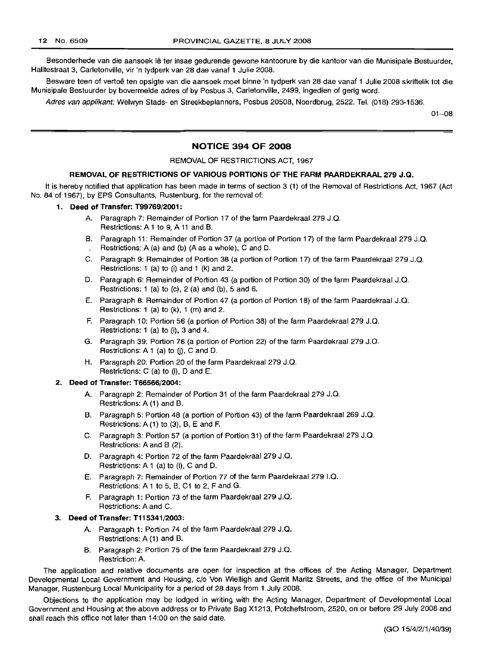Besonderhede van die aansoek lê ter insae gedurende gewone kantoorure by die kantoor van die Munisipale Bestuurder, Halitestraat 3, Carletonville, vir 'n tydperk van 28 dae vanaf 1 Julie 2008.

Besware teen of vertoe ten opsigte van die aansoek moet binne 'n tydperk van 28 dae vanaf 1 Julie 2008 skriftelik tot die Munisipale Bestuurder by bovermelde adres of by Posbus 3, Carletonville, 2499, ingedien of gerig word.

Adres van applikant: Welwyn Stads- en Streekbeplanners, Posbus 20508, Noordbrug, 2522. Tel. (018) 293-1536.

01-08

# NOTICE 394 OF 2008

#### REMOVAL OF RESTRICTIONS ACT, 1967

# REMOVAL OF RESTRICTIONS OF VARIOUS PORTIONS OF THE FARM PAARDEKRAAL 279 J.Q.

It is hereby notified that application has been made in terms of section 3 (1) of the Removal of Restrictions Act, 1967 (Act No. 84 of 1967), by EPS Consultants, Rustenburg, for the removal of:

#### 1. Deed of Transfer: T99769/2001:'

- A. Paragraph 7: Remainder of Portion 17 of the farm Paardekraal 279 J.Q. Restrictions: A 1 to 9, A 11 and B.
- B. Paragraph 11: Remainder of Portion 37 (a portion of Portion 17) of the farm Paardekraal 279 J.Q. Restrictions: A (a) and (b) (A as a whole), C and D.
- C. Paragraph 9: Remainder of Portion 38 (a portion of Portion 17) of the farm Paardekraal 279 J.Q. Restrictions: 1 (a) to (i) and 1 (k) and 2.
- D. Paragraph 6: Remainder of Portion 43 (a portion of Portion 30) of the farm Paardekraal J.Q. Restrictions: 1 (a) to (c), 2 (a) and (b), 5 and 6.
- E. Paragraph 8: Remainder of Portion 47 (a portion of Portion 18) of the farm Paardekraal J.Q. Restrictions: 1 (a) to (k), 1 (m) and 2.
- F. Paragraph 10: Portion 56 (a portion of Portion 38) of the farm Paardekraal 279 J.Q. Restrictions: 1 (a) to (i), 3 and 4.
- G. Paragraph 39: Portion 76 (a portion of Portion 22) of the farm Paardekraal 279 J.Q. Restrictions:  $A 1$  (a) to (j), C and D.
- H. Paragraph 20: Portion 20 of the farm Paardekraal 279 J.Q. Restrictions: C (a) to (i), D and E.

#### 2. Deed of Transfer: T66566/2004:

- A. Paragraph 2: Remainder of Portion 31 of the farm Paardekraal 279 J.Q. Restrictions: A (1) and B.
- B. Paragraph 5: Portion 48 (a portion of Portion 43) of the farm Paardekraal 269 J.Q. Restrictions: A (1) to (3), B, E and F.
- C. Paragraph 3: Portion 57 (a portion of Portion 31) of the farm Paardekraal 279 J.Q. Restrictions: A and B (2).
- D. Paragraph 4: Portion 72 of the farm Paardekraal 279 J.Q. Restrictions: A 1 (a) to (i), C and D.
- E. Paragraph 7: Remainder of Portion 77 of the farm Paardekraal 279 I.Q. Restrictions: A 1 to 5, B, C1 to 2, F and G.
- F. Paragraph 1: Portion 73 of the farm Paardekraal 279 J.Q. Restrictions: A and C.

#### 3. Deed of Transfer: T115341/2003:

- A. Paragraph 1: Portion 74 of the farm Paardekraal 279 J.Q. Restrictions: A (1) and B.
- B. Paragraph 2: Portion 75 of the farm Paardekraal 279 J.Q. Restriction: A.

The application and relative documents are open for inspection at the offices of the Acting Manager, Department Developmental Local Government and Housing, c/o Von Wielligh and Gerrit Maritz Streets, and the office of the Municipal Manager, Rustenburg Local Municipality for a period of 28 days from 1 July 2008.

Objections to the application may be lodged in writing with the Acting Manager, Department of Developmental Local Government and Housing at the above address or to Private Bag X1213, Potchefstroom, 2520, on or before 29 July 2008 and shall reach this office not later than 14:00 on the said date.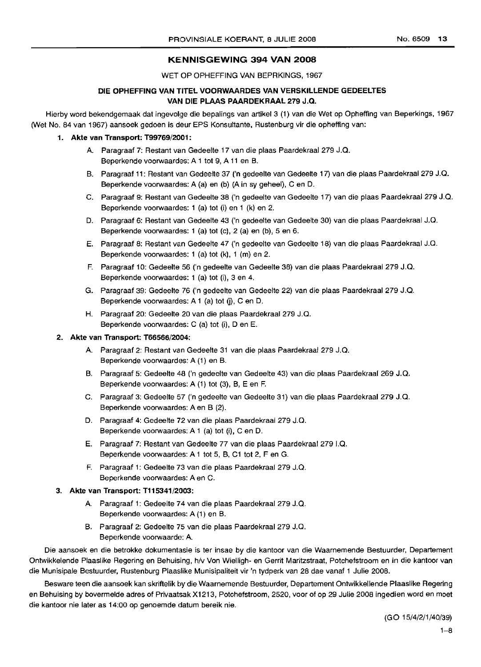# KENNISGEWING 394 VAN 2008

WET OP OPHEFFING VAN BEPRKINGS, 1967

# DIE OPHEFFING VAN TITEL VOORWAARDES VAN VERSKILLENDE GEDEELTES VAN DIE PLAAS PAARDEKRAAL 279 J.Q.

Hierby word bekendgemaak dat ingevolqe die bepalings van artikel 3 (1) van die Wet op Opheffing van Beperkings, 1967 (Wet No. 84 van 1967) aansoek gedoen is deur EPS Konsultante, Rustenburg vir die opheffing van:

# 1. Akte van Transport: T99769/2001:

- A. Paragraaf 7: Restant van Gedeelte 17 van die plaas Paardekraal 279 J.Q. Beperkende voorwaardes: A 1 tot 9, A 11 en B.
- B. Paragraaf 11: Restant van Gedeelte 37 *Cn* gedeelte van Gedeelte 17) van die plaas Paardekraal 279 J.Q. Beperkende voorwaardes: A (a) en (b) (A in sy geheel), C en D.
- C. Paragraaf 9: Restant van Gedeelte 38 *Cn* gedeelte van Gedeelte 17) van die plaas Paardekraal 279 J.Q. Beperkende voorwaardes: 1 (a) tot (i) en 1 (k) en 2.
- D. Paragraaf 6: Restant van Gedeelte 43 *Cn* gedeelte van Gedeelte 30) van die plaas Paardekraal J.Q. Beperkende voorwaardes: 1 (a) tot (c), 2 (a) en (b), 5 en 6.
- E. Paragraaf 8: Restant van Gedeelte 47 *('n* gedeelte van Gedeelte 18) van die plaas Paardekraal J.Q. Beperkende voorwaardes: 1 (a) tot (k), 1 (m) en 2.
- F. Paragraaf 10: Gedeelte 56 *Cn* gedeelte van Gedeelte 38) van die plaas Paardekraal 279 J.Q. Beperkende voorwaardes: 1 (a) tot (i), 3 en 4.
- G. Paragraaf 39: Gedeelte 76 *Cn* gedeelte van Gedeelte 22) van die plaas Paardekraal 279 J.Q. Beperkende voorwaardes: A 1 (a) tot (j), C en D.
- H. Paragraaf 20: Gedeelte 20 van die plaas Paardekraal 279 J.Q. Beperkende voorwaardes: C (a) tot (i), Den E.

#### 2. Akte van Transport: T66566/2004:

- A. Paragraaf 2: Restant van Gedeelte 31 van die plaas Paardekraal 279 J.Q. Beperkende voorwaardes: A (1) en B.
- B. Paragraaf 5: Gedeelte 48 *Cn* gedeelte van Gedeelte 43) van die plaas Paardekraal 269 J.Q. Beperkende voorwaardes: A (1) tot (3), B, E en F.
- C. Paragraaf 3: Gedeelte 57 *Cn* gedeelte van Gedeelte 31) van die plaas Paardekraal 279 J.Q. Beperkende voorwaardes: A en B (2).
- D. Paragraaf 4: Gedeelte 72 van die plaas Paardekraal 279 J.Q. Beperkende voorwaardes: A 1 (a) tot (i), C en D.
- E. Paragraaf 7: Restant van Gedeelte 77 van die plaas Paardekraal 279 I.Q. Beperkende voorwaardes: A 1 tot 5, B, C1 tot 2, F en G.
- F. Paragraaf 1: Gedeelte 73 van die plaas Paardekraal 279 J.Q. Beperkende voorwaardes: A en C.

# 3. Akte van Transport: T115341/2003:

- A. Paragraaf 1: Gedeelte 74 van die plaas Paardekraal 279 J.Q. Beperkende voorwaardes: A (1) en B.
- B. Paragraaf 2: Gedeelte 75 van die plaas Paardekraal 279 J.Q. Beperkende voorwaarde: A.

Die aansoek en die betrokke dokumentasie is ter insae by die kantoor van die Waarnemende Bestuurder, Departement Ontwikkelende Plaaslike Regering en Behuising, h/v Von Wielligh- en Gerrit Maritzstraat, Potchefstroom en in die kantoor van die Munisipale Bestuurder, Rustenburg Plaaslike Munisipaliteit vir 'n tydper.k van 28 dae vanaf 1 Julie 2008.

Besware teen die aansoek kan skriftelik by die Waarnemende Bestuurder, Departement Ontwikkellende Plaaslike Regering en Behuising by bovermelde adres of Privaatsak X1213, Potchefstroom, 2520, voor of op 29 Julie 2008 ingedien word en moet die kantoor nie later as 14:00 op genoemde datum bereik nie.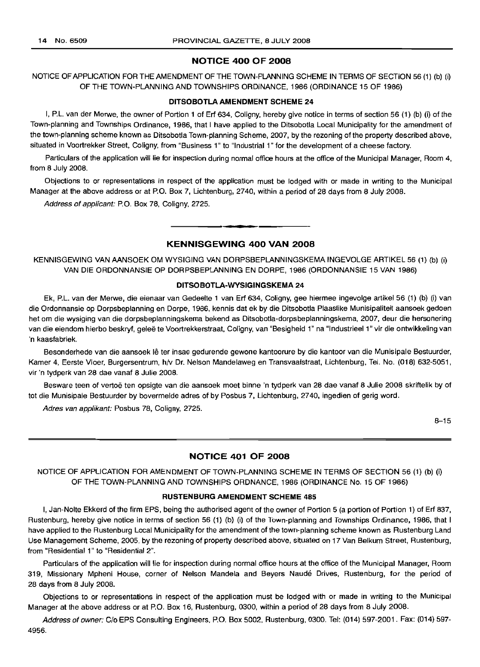#### **NOTICE 400 OF 2008**

NOTICE OF APPLICATION FOR THE AMENDMENT OF THE TOWN-PLANNING SCHEME IN TERMS OF SECTION 56 (1) (b) (i) OF THE TOWN-PLANNING AND TOWNSHIPS ORDINANCE, 1986 (ORDINANCE 15 OF 1986)

#### **DITSOBOTLA AMENDMENT SCHEME 24**

I, P.L. van der Merwe, the owner of Portion 1 of Erf 634, Coligny, hereby give notice in terms of section 56 (1) (b) (i) of the Town-planning and Townships Ordinance, 1986, that I have applied to the Ditsobotla Local Municipality for the amendment of the town-planning scheme known as Ditsobotla Town-planning Scheme, 2007, by the rezoning of the property described above, situated in Voortrekker Street, Coligny, from "Business 1" to "Industrial 1" for the development of a cheese factory.

Particulars of the application will lie for inspection during normal office hours at the office of the Municipal Manager, Room 4, from 8 July 2008.

Objections to or representations in respect of the application must be lodged with or made in writing to the Municipal Manager at the above address or at P.O. Box 7, Lichtenburg, 2740, within a period of 28 days from 8 July 2008.

Address of applicant: P.O. Box 78, Coligny, 2725.

# **KENNISGEWING 400 VAN 2008**

**•**

KENNISGEWING VAN AANSOEK OM WYSIGING VAN DORPSBEPLANNINGSKEMA INGEVOLGE ARTIKEL 56 (1) (b) (i) VAN DIE ORDONNANSIE OP DORPSBEPLANNING EN DORPE, 1986 (ORDONNANSIE 15 VAN 1986)

#### **DITSOBOTLA-WYSIGINGSKEMA 24**

Ek, P.L. van der Merwe, die eienaar van Gedeelte 1 van Erf 634, Coligny, gee hiermee ingevolge artikel 56 (1) (b) (i) van die Ordonnansie op Dorpsbeplanning en Dorpe, 1986, kennis dat ek by die Ditsobotla Plaaslike Munisipaliteit aansoek gedoen het om die wysiging van die dorpsbeplanningskema bekend as Ditsobotla-dorpsbeplanningskema, 2007, deur die hersonering van die eiendom hierbo beskryf, geleë te Voortrekkerstraat, Coligny, van "Besigheid 1" na "Industrieel 1" vir die ontwikkeling van 'n kaasfabriek.

Besonderhede van die aansoek lê ter insae gedurende gewone kantoorure by die kantoor van die Munisipale Bestuurder, Kamer 4, Eerste Vloer, Burgersentrum, h/v Dr. Nelson Mandelaweg en Transvaalstraat, Lichtenburg, Tel. No. (018) 632-5051, vir 'n tydperk van 28 dae vanaf 8 Julie 2008.

Besware teen of vertoë ten opsigte van die aansoek moet binne 'n tydperk van 28 dae vanaf 8 Julie 2008 skriftelik by of tot die Munisipale Bestuurder by bovermelde adres of by Posbus 7, Lichtenburg, 2740, ingedien of gerig word.

Adres van applikant: Posbus 78, Coligny, 2725.

8-15

# **NOTICE 401 OF 2008**

NOTICE OF APPLICATION FOR AMENDMENT OF TOWN-PLANNING SCHEME IN TERMS OF SECTION 56 (1) (b) (i) OF THE TOWN-PLANNING AND TOWNSHIPS ORDNANCE, 1986 (ORDINANCE No. 15 OF 1986)

#### **RUSTENBURG AMENDMENT SCHEME 485**

I, Jan-Nolte Ekkerd of the firm EPS, being the authorised agent of the owner of Portion 5 (a portion of Portion 1) of Erf 837, Rustenburg, hereby give notice in terms of section 56 (1) (b) (i) of the Town-planning and Townships Ordinance, 1986, that I have applied to the Rustenburg Local Municipality for the amendment of the town-planning scheme known as Rustenburg Land Use Management Scheme, 2005, by the rezoning of property described above, situated on 17 Van Belkum Street, Rustenburg, from "Residential 1" to "Residential 2".

Particulars of the application will lie for inspection during normal office hours at the office of the Municipal Manager, Room 319, Missionary Mpheni House, corner of Nelson Mandela and Beyers Naude Drives, Rustenburg, for the period of 28 days from 8 July 2008.

Objections to or representations in respect of the application must be lodged with or made in writing to the Municipal Manager at the above address or at P.O. Box 16, Rustenburg, 0300, within a period of 28 days from 8 July 2008.

Address of owner: C/o EPS Consulting Engineers, P.O. Box 5002, Rustenburg, 0300. Tel: (014) 597-2001. Fax: (014) 597- 4956.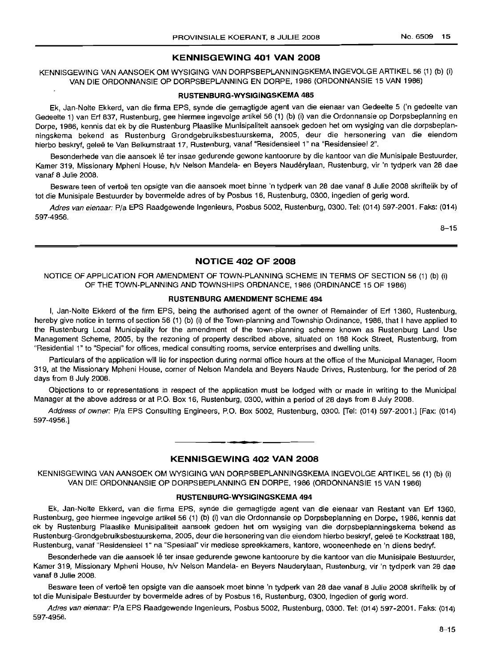# **KENNISGEWING 401 VAN 2008**

KENNISGEWING VAN MNSOEK OM WYSIGING VAN DORPSBEPLANNINGSKEMA INGEVOLGE ARTIKEL 56 (1) (b) (i) VAN DIE ORDONNANSIE OP DORPSBEPLANNING EN DORPE, 1986 (ORDONNANSIE 15 VAN 1986)

#### **RUSTENBURG-WYSIGINGSKEMA 485**

Ek, Jan-Nolte Ekkerd, van die firma EPS, synde die gemagtigde agent van die eienaar van Gedeelte 5 ('n gedeelte van Gedeelte 1) van Erf 837, Rustenburg, gee hiermee ingevolge artikel 56 (1) (b) (i) van die Ordonnansie op Dorpsbeplanning en Dorpe, 1986, kennis dat ek by die Rustenburg Plaaslike Munisipaliteit aansoek gedoen het om wysiging van die dorpsbeplanningskema bekend as Rustenburg Grondgebruiksbestuurskema, 2005, deur die hersonering van die eiendom hierbo beskryf, geleë te Van Belkumstraat 17, Rustenburg, vanaf "Residensieel 1" na "Residensieel 2".

Besonderhede van die aansoek lê ter insae gedurende gewone kantoorure by die kantoor van die Munisipale Bestuurder, Kamer 319, Missionary Mpheni House, h/V Nelson Mandela- en Beyers Nauderylaan, Rustenburg, vir 'n tydperk van 28 dae vanaf 8 Julie 2008.

Besware teen of vertoe ten opsigte van die aansoek moet binne 'n tydperk van 28 dae vanaf 8 Julie 2008 skriftelik by of tot die Munisipale Bestuurder by bovermelde adres of by Posbus 16, Rustenburg, 0300, ingedien of gerig word.

Adres van eienaar: PIa EPS Raadgewende Ingenieurs, Posbus 5002, Rustenburg, 0300. Tel: (014) 597-2001. Faks: (014) 597-4956.

B-15

# **NOTICE 402 OF 2008**

NOTICE OF APPLICATION FOR AMENDMENT OF TOWN-PLANNING SCHEME IN TERMS OF SECTION 56 (1) (b) (i) OF THE TOWN-PLANNING AND TOWNSHIPS ORDNANCE, 1986 (ORDINANCE 15 OF 1986)

# **RUSTENBURG AMENDMENT SCHEME 494**

I, Jan-Nolte Ekkerd of the firm EPS, being the authorised agent of the owner of Remainder of Erf 1360, Rustenburg, hereby give notice in terms of section 56 (1) (b) (i) of the Town-planning and Township Ordinance, 1986, that I have applied to the Rustenburg Local Municipality for the amendment of the town-planning scheme known as Rustenburg Land Use Management Scheme, 2005, by the rezoning of property described above, situated on 188 Kock Street, Rustenburg, from "Residential 1" to "Special" for offices, medical consulting rooms, service enterprises and dwelling units.

Particulars of the application will lie for inspection during normal office hours at the office of the Municipal Manager, Room 319, at the Missionary Mpheni House, corner of Nelson Mandela and Beyers Naude Drives, Rustenburg, for the period of 28 days from 8 July 2008.

Objections to or representations in respect of the application must be lodged with or made in writing to the Municipal Manager at the above address or at P.O. Box 16, Rustenburg, 0300, within a period of 28 days from 8 July 2008.

Address of owner: PIa EPS Consulting Engineers, P.O. Box 5002, Rustenburg, 0300. [Tel: (014) 597-2001.] [Fax: (014) 597-4956.]

## **KENNISGEWING 402 VAN 2008**

**• •**

KENNISGEWING VAN AANSOEK OM WYSIGING VAN DORPSBEPLANNINGSKEMA INGEVOLGE ARTIKEL 56 (1) (b) (i) VAN DIE ORDONNANSIE OP DORPSBEPLANNING EN DORPE, 1986 (ORDONNANSIE 15 VAN 1986)

# **RUSTENBURG-WYSIGINGSKEMA 494**

Ek, Jan-Nolte Ekkerd, van die firma EPS, synde die gemagtigde agent van die eienaar van Restant van Erf 1360, Rustenburg, gee hiermee ingevolge artikel 56 (1) (b) (i) van die Ordonnansie op Dorpsbeplanning en Dorpe, 1986, kennis dat ek by Rustenburg Plaaslike Munisipaliteit aansoek gedoen het om wysiging van die dorpsbeplanningskema bekend as Rustenburg-Grondgebruiksbestuurskema, 2005, deur die hersonering van die eiendom hierbo beskryf, gelee te Kockstraat 188, Rustenburg, vanaf "Residensieel 1" na "Spesiaal" vir mediese spreekkamers, kantore, wooneenhede en 'n diens bedryf.

Besonderhede van die aansoek lê ter insae gedurende gewone kantoorure by die kantoor van die Munisipale Bestuurder, Kamer 319, Missionary Mpheni House, hlv Nelson Mandela- en Beyers Nauderylaan, Rustenburg, vir 'n tydperk van 28 dae vanaf 8 Julie 2008.

Besware teen of vertoe ten opsigte van die aansoek moet binne 'n tydperk van 28 dae vanaf 8 Julie 2008 skriftelik by of tot die Munisipale Bestuurder by bovermelde adres of by Posbus 16, Rustenburg, 0300, ingedien of gerig word.

Adres van eienaar: P/a EPS Raadgewende Ingenieurs, Posbus 5002, Rustenburg, 0300, Tel: (014) 597-2001, Faks: (014) 597-4956.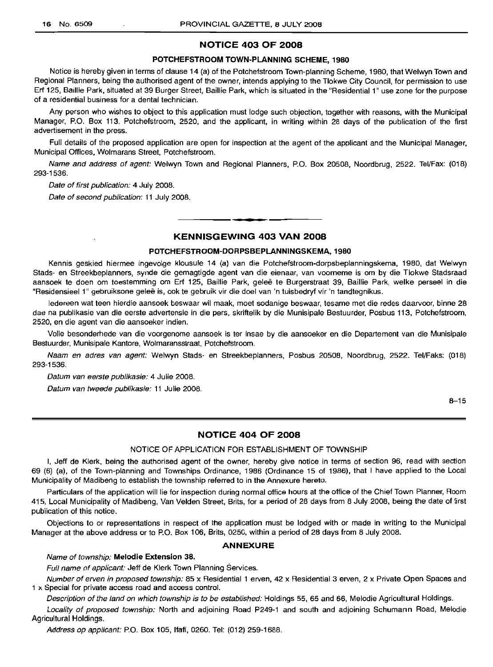# **NOTICE 403 OF 2008**

# **POTCHEFSTROOM TOWN-PLANNING SCHEME, 1980**

Notice is hereby given in terms of clause 14 (a) of the Potchefstroom Town-planning Scheme, 1980, that Welwyn Town and Regional Planners, being the authorised agent of the owner, intends applying to the Tlokwe City Council, for permission to use **Erf** 125, Baillie Park, situated at 39 Burger Street, Baillie Park, which is situated in the "Residential 1" use zone for the purpose of a residential business for a dental technician.

Any person who wishes to object to this application must lodge such objection, together with reasons, with the Municipal Manager, P.O. Box 113, Potchefstroom, 2520, and the applicant, in writing within 28 days of the publication of the first advertisement in the press.

Full details of the proposed application are open for inspection at the agent of the applicant and the Municipal Manager, Municipal Offices, Wolmarans Street, Potchefstroom.

Name and address of agent: Welwyn Town and Regional Planners, P.O. Box 20508, Noordbrug, 2522. Tel/Fax: (018) 293-1536.

Date of first publication: 4 July 2008.

 $\sim$ 

Date of second publication: 11 July 2008.

# **KENNISGEWING 403 VAN 2008**

**•**

## **POTCHEFSTROOM-DORPSBEPLANNINGSKEMA, 1980**

Kennis geskied hiermee ingevolge klousule 14 (a) van die Potchefstroom-dorpsbeplanningskema, 1980, dat Welwyn Stads- en Streekbeplanners, synde die gemagtigde agent van die eienaar, van voorneme is om by die Tlokwe Stadsraad aansoek te doen om toestemming om Erf 125, Baillie Park, gelee te Burgerstraat 39, Baillie Park, welke perseel in die "Residensieel 1" gebruiksone geleë is, ook te gebruik vir die doel van 'n tuisbedryf vir 'n tandtegnikus.

ledereen wat teen hierdie aansoek beswaar wil maak, moet sodanige beswaar, tesame met die redes daarvoor, binne 28 dae na publikasie van die eerste advertensie in die pers, skriftelik by die Munisipale Bestuurder, Posbus 113, Potchefstroom, 2520, en die agent van die aansoeker indien.

Volle besonderhede van die voorgenome aansoek is ter insae by die aansoeker en die Departement van die Munisipale Bestuurder, Munisipale Kantore, Wolmaransstraat, Potchefstroom.

Naam en adres van agent: Welwyn Stads- en Streekbeplanners, Posbus 20508, Noordbrug, 2522. Tel/Faks: (018) 293-1536.

Datum van eerste publikasie: 4 Julie 2008.

Datum van tweede publikasie: 11 Julie 2008.

8-15

# **NOTICE 404 OF 2008**

#### NOTICE OF APPLICATION FOR ESTABLISHMENT OF TOWNSHIP

I, Jeff de Klerk, being the authorised agent of the owner, hereby give notice in terms of section 96, read with section 69 (6) (a), of the Town-planning and Townships Ordinance, 1986 (Ordinance 15 of 1986), that I have applied to the Local Municipality of Madibeng to establish the township referred to in the Annexure hereto.

Particulars of the application will lie for inspection during normal office hours at the office of the Chief Town Planner, Room 415, Local Municipality of Madibeng, Van Velden Street, Brits, for a period of 28 days from 8 July 2008, being the date of first publication of this notice.

Objections to or representations in respect of the application must be lodged with or made in writing to the Municipal Manager at the above address or to P.O. Box 106, Brits, 0250, within a period of 28 days from 8 July 2008.

#### **ANNEXURE**

# Name of township: **Melodie Extension 38.**

Full name of applicant: Jeff de Klerk Town Planning Services.

Number of erven in proposed township: 85 x Residential 1 erven, 42 x Residential 3 erven, 2 x Private Open Spaces and 1 x Special for private access road and access control.

Description of the land on which township is to be established: Holdings 55, 65 and 66, Melodie Agricultural Holdings.

Locality of proposed township: North and adjoining Road P249-1 and south and adjoining Schumann Road, Melodie Agricultural Holdings.

Address op applicant: P.O. Box 105, Ifafi, 0260. Tel: (012) 259-1688.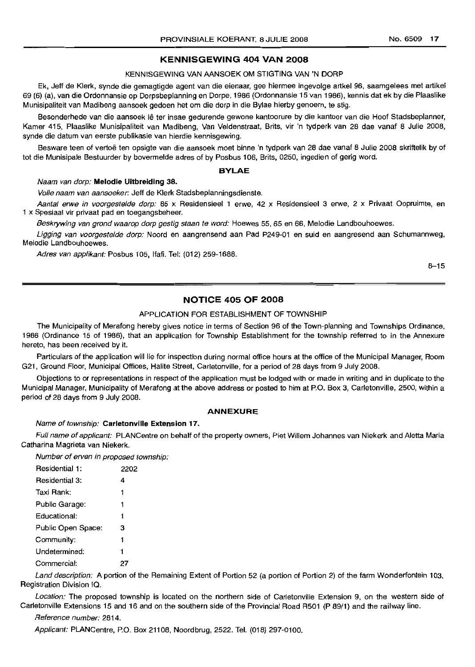# **KEINNISGEWING 404 VAN 2008**

#### KENNISGEWING VAN AANSOEK OM STIGTING VAN 'N DORP

Ek, Jeff de Klerk, synde die gemagtigde agent van die eienaar, gee hiermee ingevolge artkel 96, saamgelees met artikel 69 (6) (a), van die Ordonnansie op Dorpsbeplanning en Dorpe, 1986 (Ordonnansie 15 van 1986), kennis dat ek by die Plaaslike Munisipaliteit van Madibeng aansoek gedoen het om die dorp in die Bylae hierby genoem, te stig.

Besonderhede van die aansoek lê ter insae gedurende gewone kantoorure by die kantoor van die Hoof Stadsbeplanner, Kamer 415, Plaaslike Munisipaliteit van Madibeng, Van Veldenstraat, Brits, vir 'n tydperk van 28 dae vanaf 8 Julie 2008, synde die datum van eerste publikasie van hierdie kennisgewing.

Besware teen of vertoë ten opsigte van die aansoek moet binne 'n tydperk van 28 dae vanaf 8 Julie 2008 skriftelik by of tot die Munisipale Bestuurder by bovermelde adres of by Posbus 106, Brits, 0250, ingedien of gerig word.

#### **BYLAE**

#### Naam van dorp: **Melodie Uitbreiding** 38.

Volle naam van aansoeker: Jeff de Klerk Stadsbeplanningsdienste.

Aantal erwe in voorgestelde dorp: 85 x Residensieel 1 erwe, 42 x Residensieel 3 erwe, 2 x Privaat Oopruimte, en 1 x Spesiaal vir privaat pad en toegangsbeheer.

Beskrywing van grond waarop dorp gestig staan te word: Hoewes 55, 65 en 66, Melodie Landbouhoewes.

Ligging van voorgestelde dorp: Noord en aangrensend aan Pad P249-01 en suid en aangresend aan Schumannweg, Melodie Landbouhoewes.

Adres van applikant: Posbus 105, Ifafi. Tel: (012) 259-1688.

8-15

# **NOTICE 405 OF 2008**

#### APPLICATION FOR ESTABLISHMENT OF TOWNSHIP

The Municipality of Merafong hereby qives notice in terms of Section 96 of the Town-planning and Townships Ordinance, 1986 (Ordinance 15 of 1986), that an application for Township Establishment for the township referred to in the Annexure hereto, has been received by it.

Particulars of the application will lie for inspection during normal office hours at the office of the Municipal Manager, Room G21, Ground Floor, Municipal Offices, Halite Street, Carletonville, for a period of 28 days from 9 July 2008.

Objections to or representations in respect of the application must be lodged with or made in writing and in duplicate to the Municipal Manager, Municipality of Merafong at the above address or posted to him at P.O. Box 3, Car/etonville, 2500, within a period of 28 days from 9 July 2008.

#### **ANNEXURE**

#### Name of township: Carletonville Extension 17.

Full name of applicant: PLANCentre on behalf of the property owners, Piet Willem Johannes van Niekerk and Aletta Maria Catharina Magrieta van Niekerk.

Number of erven in proposed township:

| Residential 1:     | 2202 |
|--------------------|------|
| Residential 3:     | 4    |
| Taxi Rank:         | 1    |
| Public Garage:     | 1    |
| Educational:       | 1    |
| Public Open Space: | з    |
| Community:         | 1    |
| Undetermined:      | 1    |
| Commercial:        | 27   |

Land description: A portion of the Remaining Extent of Portion 52 (a portion of Portion 2) of the farm Wonderfontein 103, Registration Division IQ.

Location: The proposed township is located on the northern side of Carletonville Extension 9, on the western side of Carletonville Extensions 15 and 16 and on the southern side of the Provincial Road R501 (P 89/1) and the railway line.

## Reference number: 2814.

Applicant: PLANCentre, P.O. Box 21108, Noordbrug, 2522. Tel. (018) 297-0100.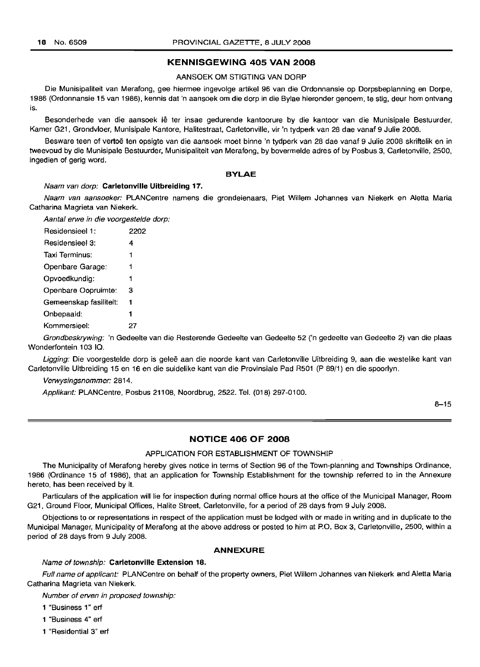## **KENNISGEWING 405 VAN 2008**

# AANSOEK OM STIGTING VAN DORP

Die Munisipaliteit van Merafong, gee hiermee ingevolge artikel 96 van die Ordonnansie op Dorpsbeplanning en Dorpe, 1986 (Ordonnansie 15 van 1986), kennis dat 'n aansoek om die dorp in die Bylae hieronder genoem, te stig, deur hom ontvang is.

Besonderhede van die aansoek iê ter insae gedurende kantoorure by die kantoor van die Munisipale Bestuurder, Kamer G21, Grondvloer, Munisipale Kantore, Halitestraat, Carletonville, vir 'n tydperk van 28 dae vanaf 9 Julie 2008.

Besware teen of vertoë ten opsigte van die aansoek moet binne 'n tydperk van 28 dae vanaf 9 Julie 2008 skriftelik en in tweevoud by die Munisipale Bestuurder, Munisipaliteit van Merafong, by bovermelde adres of by Posbus 3, Carletonville, 2500, ingedien of gerig word.

#### **BYLAE**

#### Naam van dorp: **Carletonville Uitbreiding** 17.

Naam van aansoeker: PLANCentre namens die grondeienaars, Piet Willem Johannes van Niekerk en Aletta Maria Catharina Magrieta van Niekerk.

Aantal erwe in die voorgestelde dorp:

| Residensieel 1:        | 2202 |
|------------------------|------|
| Residensieel 3:        | 4    |
| Taxi Terminus:         | 1    |
| Openbare Garage:       | 1    |
| Opvoedkundig:          | 1    |
| Openbare Oopruimte:    | з    |
| Gemeenskap fasiliteit: | 1    |
| Onbepaald:             | 1    |
| Kommersieel:           |      |

Grondbeskrywing: 'n Gedeelte van die Resterende Gedeelte van Gedeelte 52 ('n gedeelte van Gedeelte 2) van die plaas Wonderfontein 103 IQ.

Ligging: Die voorgestelde dorp is geleë aan die noorde kant van Carletonville Uitbreiding 9, aan die westelike kant van Carletonville Uitbreiding 15 en 16 en die suidelike kant van die Provinsiale Pad R501 (P 89/1) en die spoorlyn.

Verwysingsnommer: 2814.

Applikant: PLANCentre, Posbus 21108, Noordbrug, 2522. Tel. (018) 297-0100.

8-15

# **NOTICE 406 OF 2008**

#### APPLICATION FOR ESTABLISHMENT OF TOWNSHIP

The Municipality of Merafong hereby gives notice in terms of Section 96 of the Town-planning and Townships Ordinance, 1986 (Ordinance 15 of 1986), that an application for Township Establishment for the township referred to in the Annexure hereto, has been received by it.

Particulars of the application will lie for inspection during normal office hours at the office of the Municipal Manager, Room G21, Ground Floor, Municipal Offices, Halite Street, Carletonville, for a period of 28 days from 9 July 2008.

Objections to or representations in respect of the application must be lodged with or made in writing and in duplicate to the Municipal Manager, Municipality of Merafong at the above address or posted to him at P.O. Box 3, Carletonville, 2500, within a period of 28 days from 9 July 2008.

#### **ANNEXURE**

#### Name of township: **Carletonville Extension 18.**

Full name of applicant: PLANCentre on behalf of the property owners, Piet Willem Johannes van Niekerk and Aletta Maria Catharina Magrieta van Niekerk.

Number of erven in proposed township:

1 "Business 1" ert

1 "Business 4" ert

1 "Residential 3" ert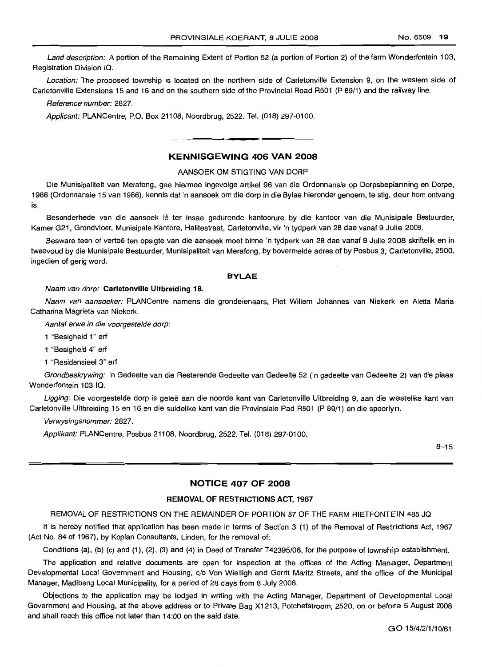Land description: A portion of the Remaining Extent of Portion 52 (a portion of Portion 2) of the farm Wonderfontein 103, Registration Division IQ.

Location: The proposed township is located on the northern side of Carletonville Extension 9, on the western side of Carletonville Extensions 15 and 16 and on the southern side of the Provincial Road R501 (P 89/1) and the railway line.

Reference number: 2827.

Applicant: PLANCentre, P.O. Box 21108, Noordbrug, 2522. Tel. (018) 297-0100.

# KENNISGEWING 406 VAN 2008

#### AANSOEK OM STIGTING VAN DORP

Die Munisipaliteit van Merafong, gee hiermee ingevolge artikel 96 van die Ordonnansie op Dorpsbeplanning en Dorpe, 1986 (Ordonnansie 15 van 1986), kennis dat 'n aansoek om die dorp in die Bylae hieronder genoem, te stig, deur hom ontvang is.

Besonderhede van die aansoek lê ter insae gedurende kantoorure by die kantoor van die Munisipale Bestuurder, Kamer G21, Grondvloer, Munisipale Kantore, Halitestraat, Carletonville, vir 'n tydperk van 28 dae vanaf 9 Julie 2008.

Besware teen of vertoë ten opsigte van die aansoek moet binne 'n tydperk van 28 dae vanaf 9 Julie 2008 skriftelik en in tweevoud by die Munisipale Bestuurder, Munisipaliteit van Merafong, by bovermelde adres of by Pasbus 3, Carletonville, 2500, ingedien of gerig word.

#### BYLAE

#### Naam van dorp: Carletonville Uitbreiding 18.

Naam van aansoeker: PLAN Centre namens die grondeienaars, Piet Willem Johannes van Niekerk en Aletta Maria Catharina Magrieta van Niekerk.

Aantal erwe in die voorgestelde dorp:

1 "Besigheid 1" erf

1 "Besigheid 4" erf

1 "Residensieel 3" erf

Grondbeskrywing: 'n Gedeelte van die Resterende Gedeelte van Gedeelte 52 ('n gedeelte van Gedeelte 2) van die plaas Wonderfontein 103 IQ.

Ligging: Die voorgestelde dorp is geleë aan die noorde kant van Carletonville Uitbreiding 9, aan die westelike kant van Carletonville Uitbreiding 15 en 16 en die suidelike kant van die Provinsiale Pad R501 (P 89/1) en die spoorlyn.

Verwysingsnommer: 2827.

Applikant: PLANCentre, Posbus 21108, Noordbrug, 2522. Tel. (018) 297-0100.

 $8 - 15$ 

# NOTICE 407 OF 2008

#### REMOVAL OF RESTRICTIONS ACT, 1967

REMOVAL OF RESTRICTIONS ON THE REMAINDER OF PORTION 87 OF THE FARM RIETFONTEIN 485 JQ

It is hereby notified that application has been made in terms of Section 3 (1) of the Removal of Restrictions Act, 1967 (Act No. 84 of 1967), by Koplan Consultants, Linden, for the removal of:

Conditions (a), (b) (c) and (1), (2), (3) and (4) in Deed of Transfer T42395/06, for the purpose of township establishment.

The application and relative documents are open for inspection at the offices of the Acting Manager, Department Developmental Local Government and Housing, c/o Von Wielligh and Gerrit Maritz Streets, and the office of the Municipal Manager, Madibeng Local Municipality, for a period of 28 days from 8 July 2008.

Objections to the application may be lodged in writing with the Acting Manager, Department of Developmental Local Government and Housing, at the above address or to Private Bag X1213, Potchefstroom, 2520, on or before 5 August 2008 and shall reach this office not later than 14:00 on the said date.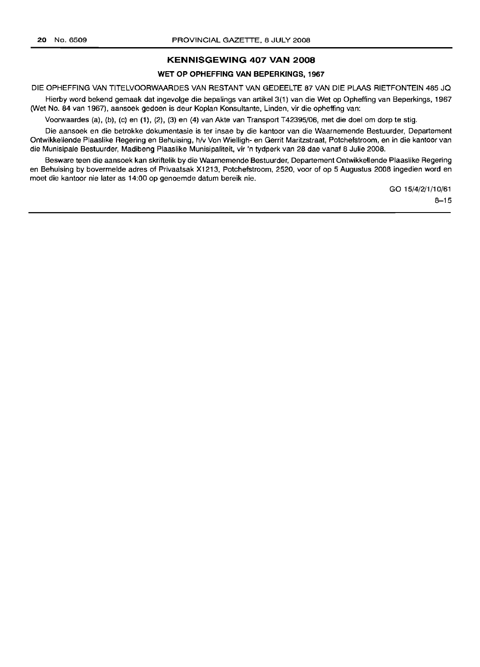# **KENNISGEWING 407 VAN 2008**

# **WET OP OPHEFFING VAN BEPERKINGS, 1967**

DIE OPHEFFING VAN TITELVOORWAARDES VAN RESTANT VAN GEDEELTE 87 VAN DIE PLAAS RIETFONTEIN 485 JQ

Hierby word bekend gemaak dat ingevolge die bepalings van artikel 3(1) van die Wet op Opheffing van Beperkings, 1967 (Wet No. 84 van 1967), aansoek gedoen is deur Koplan Konsultante, Linden, vir die opheffing van:

Voorwaardes (a), (b), (c) en (1), (2), (3) en (4) van Akte van Transport T42395/06, met die doel om dorp te stig.

Die aansoek en die betrokke dokumentasie is ter insae by die kantoor van die Waarnemende Bestuurder, Departement Ontwikkellende Plaaslike Regering en Behuising, h/v Von Wielligh- en Gerrit Maritzstraat, Potchefstroom, en in die kantoor van die Munisipale Bestuurder, Madibeng Plaaslike Munisipaliteit, vir 'n tydperk van 28 dae vanaf 8 Julie 2008.

Besware teen die aansoek kan skriftelik by die Waarnemende Bestuurder, Departement Ontwikkellende Plaaslike Regering en Behuising by bovermelde adres of Privaatsak X1213, Potchefstroom, 2520, voor of op 5 Augustus 2008 ingedien word en moet die kantoor nie later as 14:00 op genoemde datum bereik nie.

> GO 15/4/2/1/10/61  $8 - 15$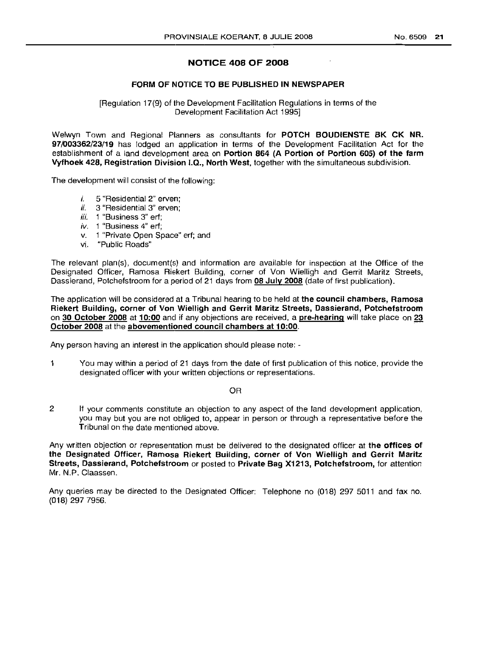# NOTICE 408 OF 2008

# FORM OF NOTICE TO BE PUBLISHED IN NEWSPAPER

[Regulation 17(9) of the Development Facilitation Regulations in terms of the Development Facilitation Act 1995]

Welwyn Town and Regional Planners as consultants for POTCH BOUDIENSTE BK CK NR. 97/003362/23/19 has lodged an application in terms of the Development Facilitation Act for the establishment of a land development area on Portion 864 (A Portion of Portion 605) of the farm Vyfhoek 428, Registration Division 1.0., North West, together with the simultaneous subdivision.

The development will consist of the following:

- *i.* 5 "Residential 2" erven;
- *ii.* 3 "Residential 3" erven;
- *iii.* 1 "Business 3" erf;
- *iv.* 1 "Business 4" erf;
- v. 1 "Private Open Space" erf; and
- vi. "Public Roads"

The relevant plan(s), document(s) and information are available for inspection at the Office of the Designated Officer, Ramosa Hiekert Building, corner of Von Wielligh and Gerrit Maritz Streets, Dassierand, Potchefstroom for a period of 21 days from 08 July 2008 (date of first publication).

The application will be considered at a Tribunal hearing to be held at the council chambers, Ramosa Riekert Building, corner of Von Wielligh and Gerrit Maritz Streets, Dassierand, Potchefstroom on 30 October 2008 at 10:00 and if any objections are received, a pre-hearing will take place on 23 October 2008 at the abovementioned council chambers at 10:00.

Any person having an interest in the application should please note: -

1 You may within a period of 21 days from the date of first publication of this notice, provide the designated officer with your written objections or representations.

OR

2 If your comments constitute an objection to any aspect of the land development application, you may but you are not obliged to, appear in person or through a representative before the Tribunal on the date mentioned above.

Any written objection or representation must be delivered to the designated officer at the **offices of** the Designated Officer, Ramosa Riekert Building, corner of Von Wielligh and Gerrit Maritz Streets, Dassierand, Potchefstroom or posted to Private Bag X1213, Potchefstroom, for attention Mr. N.P. Claassen.

Any queries may be directed to the Designated Officer: Telephone no (018) 297 5011 and fax no. (018) 297 7956.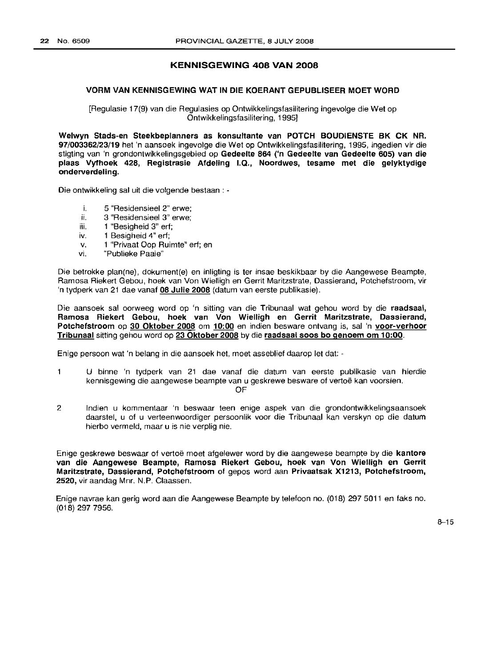# KENNISGEWING 408 VAN 2008

#### VORM VAN KENNISGEWING WAT IN DIE KOERANT GEPUBLISEER MOET WORD

[Regulasie 17(9) van die Regulasies op Ontwikkelingsfasilitering ingevolge die Wet op Ontwikkelingsfasilitering, 1995]

Welwyn Stads-en Steekbeplanners as konsultante van POTCH BOUDIENSTE BK CK NR. 97/003362/23/19 het 'n aansoek ingevolge die Wet op Ontwikkelingsfasilitering, 1995, ingedien vir die stigting van 'n grondontwikkelingsgebied op Gedeelte 864 ('n Gedeelte van Gedeelte 605) van die plaas Vyfhoek 428, Registrasie Afdeling 1.0., Noordwes, tesame met die gelyktydige onderverdeling.

Die ontwikkeling sal uit die volgende bestaan : -

- i. 5 "Residensieel 2" erwe;
- ii. 3 "Residensieel 3" erwe;
- iii. 1 "Besigheid 3" erf;
- iv. 1 Besigheid 4" ert;
- v. 1 "Privaat Oop Ruimte" ert; en
- vi. "Publieke Paaie"

Die betrokke plan(ne), dokument(e) en inligting is ter insae beskikbaar by die Aangewese Beampte, Ramosa Riekert Gebou, hoek van Von Wielligh en Gerrit Maritzstrate, Dassierand, Potchefstroom, vir 'n tydperk van 21 dae vanaf 08 Julie 2008 (datum van eerste publikasie).

Die aansoek sal oorweeg word op 'n sitting van die Tribunaal wat gehou word by die raadsaal, Ramosa Riekert Gebou, hoek van Von Wielligh en Gerrit Maritzstrate, Dassierand, Potchefstroom op 30 Oktober 2008 om 10:00 en indien besware ontvang is, sal 'n voor-verhoor Tribunaal sitting gehou word op 23 Oktober 2008 by die raadsaal soos bo genoem om 10:00.

Enige persoon wat 'n belang in die aansoek het, moet asseblief daarop let dat: -

 $\mathbf{1}$ U binne 'n tydperk van 21 dae vanaf die datum van eerste publikasie van hierdie kennisgewing die aangewese beampte van u geskrewe besware of vertoë kan voorsien.

OF

2 Indien u kommentaar 'n beswaar teen enige aspek van die grondontwikkelingsaansoek daarstel, u of u verteenwoordiger persoonlik voor die Tribunaal kan verskyn op die datum hierbo vermeld, maar u is nie verplig nie.

Enige geskrewe beswaar of vertoë moet afgelewer word by die aangewese beampte by die kantore van die Aangewese Beampte, Ramosa Riekert Gebou, hoek van Von Wielligh en Gerrit Maritzstrate, Dassierand, Potchefstroom of gepos word aan Privaatsak X1213, Potchefstroom, 2520, vir aandag Mnr. N.P. Claassen.

Enige navrae kan gerig word aan die Aangewese Beampte by telefoon no. (018) 2975011 en faks no. (018) 297 7956.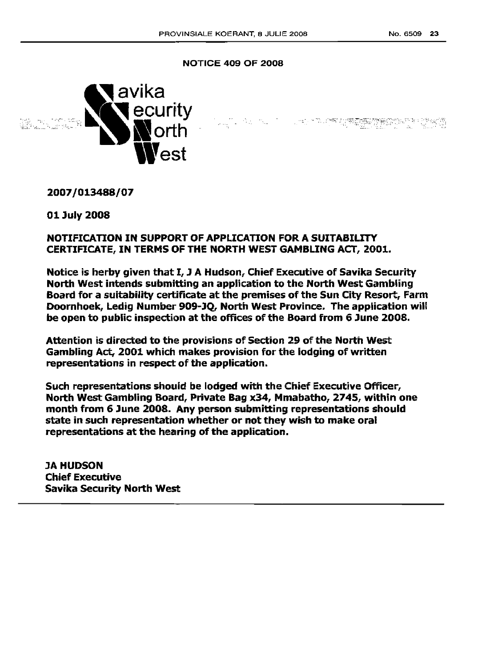1.051 - TAUTER SI WARRANG MARKATER PERKINA

# NOTICE 409 OF 2008



2007/013488/07

01 July 2008

# NOTIFICATION IN SUPPORT OF APPLICATION FOR A SUITABILITY CERTIFICATE, IN TERMS OF THE NORTH WEST GAMBLING ACT, 2001.

Notice is herby given that I, J A Hudson, Chief Executive of Savika Security North West intends submitting an application to the North West Gambling Board for a suitability certificate at the premises of the Sun City Resort, Farm Doornhoek, Ledig Number 909-JQ, North West Province. The application will be open to public inspection at the offices of the Board from 6 June 2008.

Attention is directed to the provisions of Section 29 of the North West Gambling Act, 2001 which makes provision for the lodging of written representations in respect: of the application.

Such representations should be lodged with the Chief Executive Officer, North West Gambling Board, Private Bag x34, Mmabatho, 2745, within one month from 6 June 2008. Any person submitting representations should state in such representation whether or not they wish to make oral representations at the hearing of the application.

JA HUDSON Chief Executive Savika security North West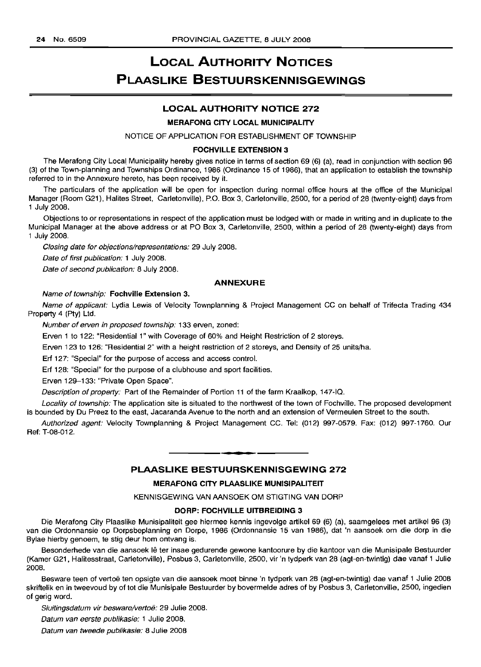# **LOCAL AUTHORITY NOTICES PLAASLIKE BESTUURSKENNISGEWINGS**

# **LOCAL AUTHORITY NOTICE** 272

#### MERAFONG CITY LOCAL MUNICIPALITY

NOTICE OF APPLICATION FOR ESTABLISHMENT OF TOWNSHIP

#### FOCHVILLE EXTENSION 3

The Merafong City Local Municipality hereby gives notice in terms of section 69 (6) (a), read in conjunction with section 96 (3) of the Town-planning and Townships Ordinance, 1986 (Ordinance 15 of 1986), that an application to establish the township referred to in the Annexure hereto, has been received by it.

The particulars of the application will be open for inspection during normal office hours at the office of the Municipal Manager (Room G21), Halites Street, Carletonville), P.O. Box 3, Carletonville, 2500, for a period of 28 (twenty-eight) days from 1 July 2008.

Objections to or representations in respect of the application must be lodged with or made in writing and in duplicate to the Municipal Manager at the above address or at PO Box 3, Carletonville, 2500, within a period of 28 (twenty-eight) days from 1 July 2008.

Closing date for objections/representations: 29 July 2008.

Date of first publication: 1 July 2008.

Date of second publication: 8 July 2008.

#### ANNEXURE

#### Name of township: Fochville Extension 3.

Name of applicant: Lydia Lewis of Velocity Townplanning & Project Management CC on behalf of Trifecta Trading 434 Property 4 (Pty) Ltd.

Number of erven in proposed township: 133 erven, zoned:

Erven 1 to 122: "Residential 1" with Coverage of 60% and Height Restriction of 2 storeys.

Erven 123 to 126: "Residential 2" with a height restriction of 2 storeys, and Density of 25 units/ha.

Erf 127: "Special" for the purpose of access and access control.

Erf 128: "Special" for the purpose of a clubhouse and sport facilities.

Erven 129-133: "Private Open Space".

Description of property: Part of the Remainder of Portion 11 of the farm Kraalkop, 147-10.

Locality of township: The application site is situated to the northwest of the town of Fochville. The proposed development is bounded by Du Preez to the east, Jacaranda Avenue to the north and an extension of Vermeulen Street to the south.

Authorized agent: Velocity Townplanning & Project Management CC. Tel: (012) 997-0579. Fax: (012) 997-1760. Our Ref: T-08-012.

# **PLAASLIKE BESTUURSKENNISGEWING** 272

**-**

#### MERAFONG CITY PLAASLIKE MUNISIPALITEIT

KENNISGEWING VAN AANSOEK OM STIGTING VAN DORP

# DORP: FOCHVILLE UITBREIDING 3

Die Merafong City Plaaslike Munisipaliteit gee hiermee kennis ingevolge artikel 69 (6) (a), saamgelees met artikel 96 (3) van die Ordonnansie op Dorpsbeplanning en Dorpe, 1986 (Ordonnansie 15 van 1986), dat 'n aansoek om die dorp in die Bylae hierby genoem, te stig deur hom ontvang is.

Besonderhede van die aansoek lê ter insae gedurende gewone kantoorure by die kantoor van die Munisipale Bestuurder (Kamer G21, Halitesstraat, Carletonville), Posbus 3, Carletonville, 2500, vir 'n tydperk van 28 (agt-en-twintig) dae vanaf 1 Julie 2008.

Besware teen of vertoe ten opsigte van die aansoek moet binne 'n tydperk van 28 (agt-en-twintig) dae vanaf 1 Julie 2008 skriftelik en in tweevoud by of tot die Munisipale Bestuurder by bovermelde adres of by Posbus 3, Carletonville, 2500, ingedien of gerig word.

Sluitingsdatum vir besware/vertoë: 29 Julie 2008.

Datum van eerste publikasie: 1 Julie 2008.

Datum van tweede publikasie: 8 Julie 2008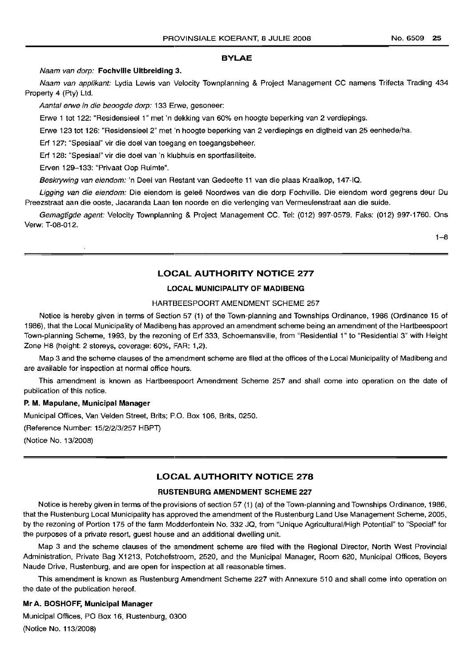#### BYLAE

Naam van dorp: Fochville Uitbreiding 3.

Naam van applikant: Lydia Lewis van Velocity Townplanning & Project Management CC namens Trifecta Trading 434 Property 4 (Pty) Ltd.

Aantal erwe in die beoogde dorp: 133 Erwe, gesoneer:

Erwe 1 tot 122: "Residensieel 1" met 'n dekking van 60% en hoogte beperking van 2 verdiepings.

Erwe 123 tot 126: "Residensieel 2" met 'n hoogte beperking van 2 verdiepings en digtheid van 25 eenhede/ha.

Erf 127: "Spesiaal" vir die doel van toegang en toegangsbeheer.

Erf 128: "Spesiaal" vir die doel van 'n klubhuis en sportfasiliteite.

Erven 129-133: "Privaat Oop Ruimte".

Beskrywing van eiendom: 'n Deel van Restant van Gedeelte 11 van die plaas Kraalkop, 147-IQ.

Ligging van die eiendom: Die eiendom is geleë Noordwes van die dorp Fochville. Die eiendom word gegrens deur Du Preezstraat aan die ooste, Jacaranda Laan ten noorde en die verlenging van Vermeulenstraat aan die suide.

Gemagtigde agent: Velocity Townplanning & Project Management CC. Tel: (012) 997-0579. Faks: (012) 997-1760. Ons Verw: T-08-012.

1-8

# LOCAL AUTHORITY NOTICE 277

#### LOCAL MUNICIPALITY OF MADIBENG

# HARTBEESPOORT AMENDMENT SCHEME 257

Notice is hereby given in terms of Section 57 (1) of the Town-planning and Townships Ordinance, 1986 (Ordinance 15 of 1986), that the Local Municipality of Madibenq has approved an amendment scheme being an amendment of the Hartbeespoort Town-planning Scheme, 1993, by the rezoning of Erf 333, Schoemansville, from "Residential 1" to "Residential 3" with Height Zone H8 (height: 2 storeys, coverage: 60%, FAR: 1,2).

Map 3 and the scheme clauses of the amendment scheme are filed at the offices of the Local Municipality of Madibeng and are available for inspection at normal office hours.

This amendment is known as Hartbeespoort Amendment Scheme 257 and shall come into operation on the date of publication of this notice.

#### P. M. Mapulane, Municipal Manager

Municipal Offices, Van Velden Street, Brits; P.O. Box 106, Brits, 0250.

(Reference Number: 15/2/2/3/257 HBPT)

(Notice No. 13/2008)

# LOCAL AUTHORITY NOTICE 278

# RUSTENBURG AMENDMENT SCHEME 227

Notice is hereby given in terms of the provisions of section 57 (1) (a) of the Town-planning and Townships Ordinance, 1986, that the Rustenburg Local Municipality has approved the amendment of the Rustenburg Land Use Management Scheme, 2005, by the rezoning of Portion 175 of the farm Modderfontein No. 332 JO, from "Unique Agricultural/High Potential" to "Special" for the purposes of a private resort, guest house and an additional dwelling unit.

Map 3 and the scheme clauses of the amendment scheme are filed with the Regional Director, North West Provincial Administration, Private Bag X1213, Potchefstroom, 2520, and the Municipal Manager, Room 620, Municipal Offices, Beyers Naude Drive, Rustenburg, and are open for inspection at all reasonable times.

This amendment is known as Rustenburg Amendment Scheme 227 with Annexure 510 and shall come into operation on the date of the publication hereof.

## Mr A. BOSHOFF, Municipal Manager

Municipal Offices, PO Box 16, Rustenburg, 0300 (Notice No. 113/2008)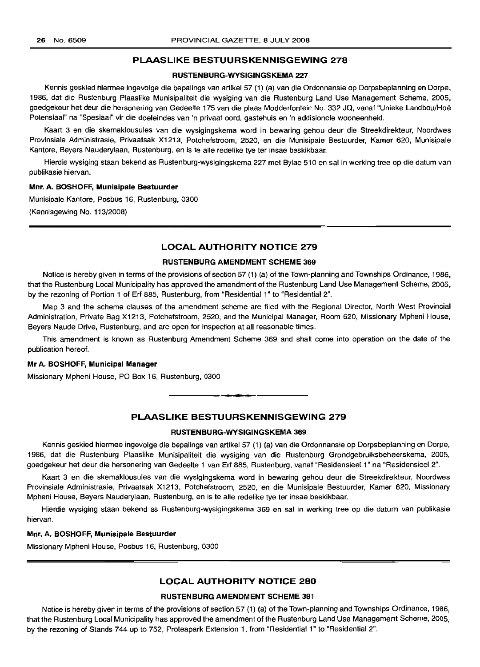## PLAASLIKE BESTUURSKENNISGEWING 278

#### RUSTENBURG-WYSIGINGSKEMA 227

Kennis geskied hiermee ingevolge die bepalings van artikel 57 (1) (a) van die Ordonnansie op Dorpsbeplanning en Dorpe, 1986, dat die Rustenburg Plaaslike Munisipaliteit die wysiging van die Rustenburg Land Use Management Scheme, 2005, goedgekeur het deur die hersonering van Gedeelte 175 van die plaas Modderfontein No. 332 JQ, vanaf "Unieke Landbou/Hoe Potensiaal" na "Spesiaal" vir die doeleindes van 'n privaat cord, gastehuis en 'n addisionele wooneenheid.

Kaart 3 en die skemaklousules van die wysigingskema word in bewaring gehou deur die Streekdirekteur, Noordwes Provinsiale Administrasie, Privaatsak X1213, Potchefstroom, 2520, en die Munisipale Bestuurder, Kamer 620, Munisipale Kantore, Beyers Nauderylaan, Rustenburg, en is te aile redelike tye ter insae beskikbaar.

Hierdie wysiging staan bekend as Rustenburg-wysigingskema 227 met Bylae 510 en sal in werking tree op die datum van publikasie hiervan.

#### Mnr. A. BOSHOFF, Munisipale Bestuurder

Munisipale Kantore, Posbus 16, Rustenburg, 0300 (Kennisgewing No. 113/2008)

# LOCAL AUTHORITY NOTICE 279

#### RUSTENBURG AMENDMENT SCHEME 369

Notice is hereby given in terms of the provisions of section 57 (1) (a) of the Town-planning and Townships Ordinance, 1986, that the Rustenburg Local Municipality has approved the amendment of the Rustenburg Land Use Management Scheme, 2005, by the rezoning of Portion 1 of Erf 885, Rustenburg, from "Residential 1" to "Residential 2".

Map 3 and the scheme clauses of the amendment scheme are filed with the Regional Director, North West Provincial Administration, Private Bag X1213, Potchefstroom, 2520, and the Municipal Manager, Room 620, Missionary Mpheni House, Beyers Naude Drive, Rustenburg, and are open for inspection at all reasonable times.

This amendment is known as Rustenburg Amendment Scheme 369 and shall come into operation on the date of the publication hereof.

## Mr A. BOSHOFF, Municipal Manager

Missionary Mpheni House, PO Box 16, Rustenburg, 0300

# PLAASLIKE BESTUURSKENNISGEWING 279

**•**

#### RUSTENBURG-WYSIGINGSKEMA 369

Kennis geskied hiermee ingevolge die bepalings van artikel 57 (1) (a) van die Ordonnansie op Dorpsbeplanning en Dorpe, 1986, dat die Rustenburg Plaaslike Munisipaliteit die wysiging van die Rustenburg Grondgebruiksbeheerskema, 2005, goedgekeur het deur die hersonering van Gedeelte 1 van Erf 885, Rustenburg, vanaf "Residensieel 1" na "Residensieel 2".

Kaart 3 en die skemaklousules van die wysigingskema word in bewaring gehou deur die Streekdirekteur, Noordwes Provinsiale Administrasie, Privaatsak X1213, Potchefstroom, 2520, en die Munisipale Bestuurder, Kamer 620, Missionary Mpheni House, Beyers Nauderylaan, Rustenburg, en is te aile redelike tye ter insae beskikbaar.

Hierdie wysiging staan bekend as Rustenburg-wysigingskema 369 en sal in werking tree op die datum van publikasie hiervan.

## Mnr. A. BOSHOFF, Munisipale Bestuurder

Missionary Mpheni House, Posbus 16, Rustenburg, 0300

# LOCAL AUTHORITY NOTICE 280

#### RUSTENBURG AMENDMENT SCHEME 381

Notice is hereby given in terms of the provisions of section 57 (1) (a) of the Town-planning and Townships Ordinance, 1986, that the Rustenburg Local Municipality has approved the amendment of the Rustenburg Land Use Management Scheme, 2005, by the rezoning of Stands 744 up to 752, Proteapark Extension 1, from "Residential 1" to "Residential 2".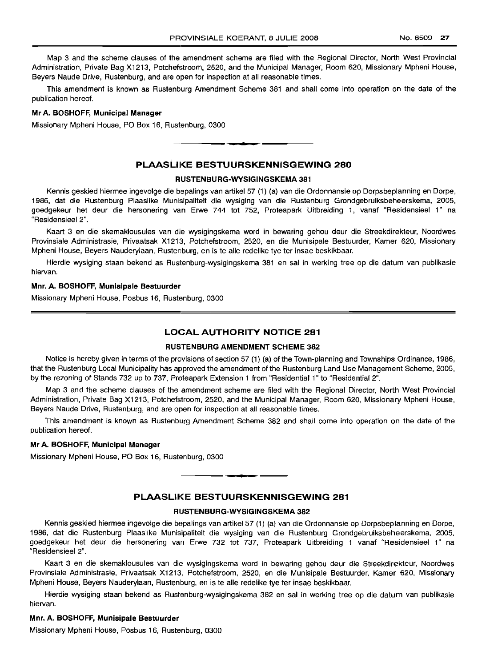Map 3 and the scheme clauses of the amendment scheme are filed with the Regional Director, North West Provincial Administration, Private Bag X1213, Potchefstroom, 2520, and the Municipall Manager, Room 620, Missionary Mpheni House, Beyers Naude Drive, Rustenburg, and are open for inspection at all reasonable times.

This amendment is known as Rustenburg Amendment Scheme 381 and shall come into operation on the date of the publication hereof.

#### **Mr A. BOSHOFF, Municipal Manager**

Missionary Mpheni House, PO Box 16, Rustenburg, 0300

# **PLAASLlI<E BESTUURSKENNISGEWING 280**

.**-.**

#### **RUS'rENBURG-WYSIGINGSKEMA 381**

Kennis geskied hiermee ingevolge die bepallnqs van artikel 57 (1) (a) van die Ordonnansie op Dorpsbeplanning en Dorpe, 1986, dat die Rustenburg Plaaslike Munisipaliteit die wysiging van die Rustenburg Grondgebruiksbeheerskema, 2005, goedgekeur het deur die hersonering van Erwe 744 tot 752, Proteapark Uitbreiding 1, vanaf "Residensieel 1" na "Residensieel 2".

Kaart 3 en die skemaklousules van die wysigingskema word in bewaring gehou deur die Streekdirekteur, Noordwes Provinsiale Administrasie, Privaatsak X1213, Potchefstroom, 2520, en die Munisipale Bestuurder, Kamer 620, Missionary Mpheni House, Beyers Nauderylaan, Rustenburg, en is te aile redelike tye ter insae beskikbaar.

Hierdie wysiging staan bekend as Rustenburg-wysigingskema 381 en sal in werking tree op die datum van publikasie hiervan.

#### **Mnr. A. BOSHOFF, Munisipale Bestuurder**

Missionary Mpheni House, Posbus 16, Rustemburg, 0300

# **LOCAL AUTHORITY NOTICE 281**

#### **RUSTENBURG AMENDMENT SCHEME 382**

Notice is hereby given in terms of the provisions of section 57 (1) (a) of the Town-planning and Townships Ordinance, 1986, that the Rustenburg Local Municipality has approved the amendment of the Rustenburg Land Use Management Scheme, 2005, by the rezoning of Stands 732 up to 737, Proteapark Extension 1 from "Residential 1" to "Residential 2".

Map 3 and the scheme clauses of the amendment scheme are filed with the Regional Director, North West Provincial Administration, Private Bag X1213, Potchefstroom, 2520, and the Municipal Manager, Room 620, Missionary Mpheni House, Beyers Naude Drive, Rustenburg, and are open for inspection at all reasonable times.

This amendment is known as Rustenburg Amendment Scheme 382 and shall come into operation on the date of the publication hereof.

# **Mr A. BOSHOFF, Municipal Manager**

Missionary Mpheni House, PO Box 16, Rustemburg, 0300

# **PLAASLIKE BESTUURSKENNISGEWING 281**

**-.**

#### **RUSTENBURG-WYSIGINGSKEMA 382**

Kennis geskied hiermee ingevolge die bepalings van artikel 57 (1) (a) van die Ordonnansie op Dorpsbeplanning en Dorpe, 1986, dat die Rustenburg Plaaslike Munisipaliteit die wysiging van die Rustenburg Grondgebruiksbeheerskema, 2005, goedgekeur het deur die hersonering van Erwe 732 tot 737, Proteapark Uitbreiding 1 vanaf "Residensieel 1" na "Residensieel 2".

Kaart 3 en die skemaklousules van die wysigingskema word in bewaring gehou deur die Streekdirekteur, Noordwes Provinsiale Administrasie, Privaatsak X1213, Potchefstroom, 2520, en die Munisipale Bestuurder, Kamer 620, Missionary Mpheni House, Beyers Nauderylaan, Rustenburg, en is te aile redelike tye ter insae beskikbaar.

Hierdie wysiging staan bekend as Hustenburq-wyslqlnqskerna 382 en sal in werking tree op die datum van publikasie hiervan.

# **Mnr. A. BOSHOFF, Munisipale Bestuurder**

Missionary Mpheni House, Posbus 16, Rustenburg, 0300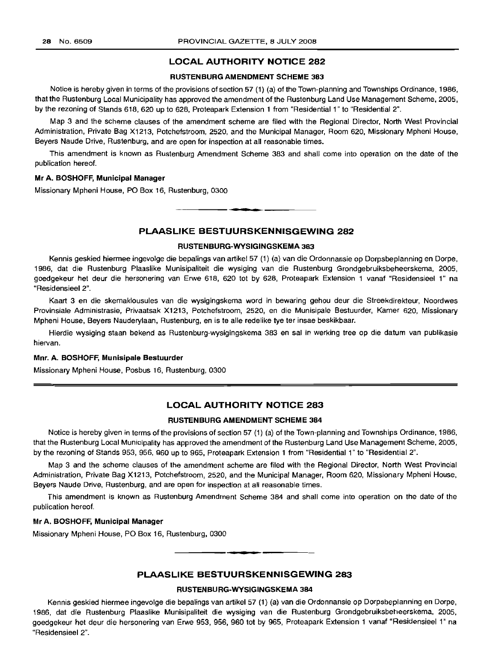# **LOCAL AUTHORITY NOTICE 282**

# **RUSTENBURG AMENDMENT SCHEME 383**

Notice is hereby given in terms of the provisions of section 57 (1) (a) of the Town-planning and Townships Ordinance, 1986, that the Rustenburg Local Municipality has approved the amendment of the Rustenburg Land Use Management Scheme, 2005, by the rezoning of Stands 618, 620 up to 628, Proteapark Extension 1 from "Residential 1" to "Residential 2".

Map 3 and the scheme clauses of the amendment scheme are filed with the Regional Director, North West Provincial Administration, Private Bag X1213, Potchefstroom, 2520, and the Municipal Manager, Room 620, Missionary Mpheni House, Beyers Naude Drive, Rustenburg, and are open for inspection at all reasonable times.

This amendment is known as Rustenburg Amendment Scheme 383 and shall come into operation on the date of the publication hereof.

#### **Mr A. BOSHOFF, Municipal Manager**

Missionary Mpheni House, PO Box 16, Rustenburg, 0300

# **PLAASLIKE BESTUURSKENNISGEWING 282**

**•**

#### **RUSTENBURG-WYSIGINGSKEMA 383**

Kennis geskied hiermee ingevolge die bepalings van artikel 57 (1) (a) van die Ordonnansie op Dorpsbeplanning en Dorpe, 1986, dat die Rustenburg Plaaslike Munisipaliteit die wysiging van die Rustenburg Grondgebruiksbeheerskema, 2005, goedgekeur het deur die hersonering van Erwe 618, 620 tot by 628, Proteapark Extension 1 vanaf "Residensieel 1" na "ResidensieeI2".

Kaart 3 en die skemaklousules van die wysigingskema word in bewaring gehou deur die Streekdirekteur, Noordwes Provinsiale Administrasie, Privaatsak X1213, Potchefstroom, 2520, en die Munisipale Bestuurder, Kamer 620, Missionary Mpheni House, Beyers Nauderylaan, Rustenburg, en is te aile redelike tye ter insae beskikbaar.

Hierdie wysiging staan bekend as Rustenburg-wysigingskema 383 en sal in werking tree op die datum van publikasie hiervan.

#### **Mnr. A. BOSHOFF, Munisipale Bestuurder**

Missionary Mpheni House, Posbus 16, Rustenburg, 0300

# **LOCAL AUTHORITY NOTICE 283**

#### **RUSTENBURG AMENDMENT SCHEME 384**

Notice is hereby given in terms of the provisions of section 57 (1) (a) of the Town-planning and Townships Ordinance, 1986, that the Rustenburg Local Municipality has approved the amendment of the Rustenburg Land Use Management Scheme, 2005, by the rezoning of Stands 953, 956, 960 up to 965, Proteapark Extension 1 from "Residential 1" to "Residential 2".

Map 3 and the scheme clauses of the amendment scheme are filed with the Regional Director, North West Provincial Administration, Private Bag X1213, Potchefstroom, 2520, and the Municipal Manager, Room 620, Missionary Mpheni House, Beyers Naude Drive, Rustenburg, and are open for inspection at all reasonable *times.*

This amendment is known as Rustenburg Amendment Scheme 384 and shall come into operation on the date of the publication hereof.

# **Mr A. BOSHOFF, Municipal Manager**

Missionary Mpheni House, PO Box 16, Rustenburg, 0300

# **PLAASLIKE BESTUURSKENNISGEWING 283**

#### **RUSTENBURG-WYSIGINGSKEMA 384**

Kennis geskied hiermee ingevolge die bepalings van artikel 57 (1) (a) van die Ordonnansie op Dorpsbeplanning en Dorpe, 1986, dat die Rustenburg Plaaslike Munisipaliteit die wysiging van die Rustenburg Grondgebruiksbeheerskema, 2005, goedgekeur het deur die hersonering van Erwe 953, 956, 960 tot by 965, Proteapark Extension 1 vanaf "Residensieel 1" na "Residensieel 2".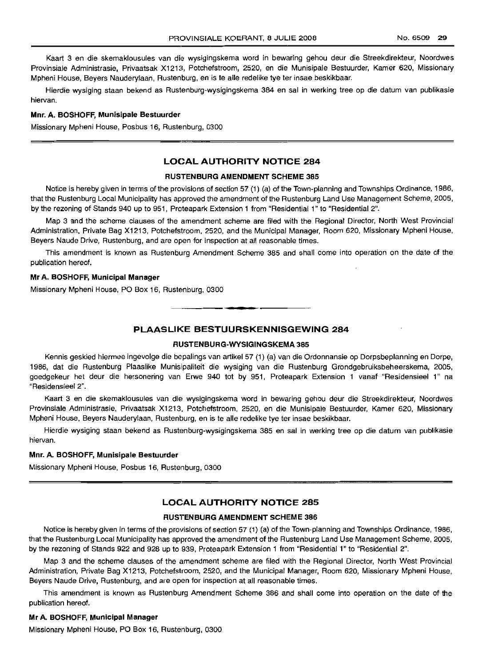Kaart 3 en die skemaklousules van die wysigingskema word in bewaring gehou deur die Streekdirekteur, Noordwes Provinsiale Administrasie, Privaatsak X1213, Potchefstroom, 2520, en die Munisipale Bestuurder, Kamer 620, Missionary Mpheni House, Beyers Nauderylaan, Rustenburg, en is te aile redelike tye ter insae beskikbaar.

Hierdie wysiging staan bekend as Rustenburg-wysigingskema 384 en sal in werking tree op die datum van publikasie hiervan.

#### Mnr. A. BOSHOFF, Munisipale Bestuurder

Missionary Mpheni House, Posbus 16, Rustenburg, 0300

# LOCAL AUTHORITY NOTICE 284

#### RUSTENBURG AMENDMENT SCHEME 385

Notice is hereby given in terms of the provisions of section 57 (1) (a) of the Town-planning and Townships Ordinance, 1986, that the Rustenburg Local Municipality has approved the amendment of the Rustenburg Land Use Management Scheme, 2005, by the rezoning of Stands 940 up to 951, Proteapark Extension 1 from "Residential 1" to "Residential 2".

Map 3 and the scheme clauses of the amendment scheme are filed with the Regional Director, North West Provincial Administration, Private Bag X1213, Potchefstroom, 2520, and the Municipal Manager, Room 620, Missionary Mpheni House, Beyers Naude Drive, Rustenburg, and are open for inspection at all reasonable times.

This amendment is known as Rustenburg Amendment Scheme 385 and shall come into operation on the date of the publication hereof.

# Mr A. BOSHOFF, Municipal Manager

Missionary Mpheni House, PO Box 16, Rustenburg, 0300

# PLAASLIKE BESTUURSKENNISGEWING 284

**• •**

#### RUSTENBURG-WYSIGINGSKEMA 385

Kennis geskied hiermee ingevolge die bepalings van artikel 57 (1) (a) van die Ordonnansie op Dorpsbeplanning en Dorpe, 1986, dat die Rustenburg Plaaslike Munisipaliteit die wysiging van die Rustenburg Grondgebruiksbeheerskema, 2005, goedgekeur het deur die hersonering van Erwe 940 tot by 951, Proteapark Extension 1 vanaf "Residensieel 1" na "Residensieel 2".

Kaart 3 en die skemaklousules van die wysigingskema word in bewaring gehou deur die Streekdirekteur, Noordwes Provinsiale Administrasie, Privaatsak X1213, Potchefstroom, 2520, en die Munisipale Bestuurder, Kamer 620, Missionary Mpheni House, Beyers Nauderylaan, Rustenburg, en is te aile redelike tye ter insae beskikbaar.

Hierdie wysiging staan bekend as Rustenburg-wysigingskema 385 en sal in werking tree op die datum van publikasie hiervan.

#### Mnr. A. BOSHOFF, Munisipale Bestuurder

Missionary Mpheni House, Posbus 16, Rustenburg, 0300

## LOCAL AUTHORITY NOTICE 285

#### RUSTENBURG AMENDMENT SCHEME 386

Notice is hereby given in terms of the provisions of section 57 (1) (a) of the Town-planning and Townships Ordinance, 1986, that the Rustenburg Local Municipality has approved the amendment of the Rustenburg Land Use Management Scheme, 2005, by the rezoning of Stands 922 and 928 up to 939, Proteapark Extension 1 from "Residential 1" to "Residential 2".

Map 3 and the scheme clauses of the amendment scheme are filed with the Regional Director, North West Provincial Administration, Private Bag X1213, Potchefstroom, 2520, and the Municipal Manager, Room 620, Missionary Mpheni House, Beyers Naude Drive, Rustenburg, and are open for inspection at all reasonable times.

This amendment is known as Rustenburg Amendment Scheme 386 and shall come into operation on the date of the publication hereof.

## Mr A. BOSHOFF, Municipal Manager

Missionary Mpheni House, PO Box 16, Rustenburg, 0300